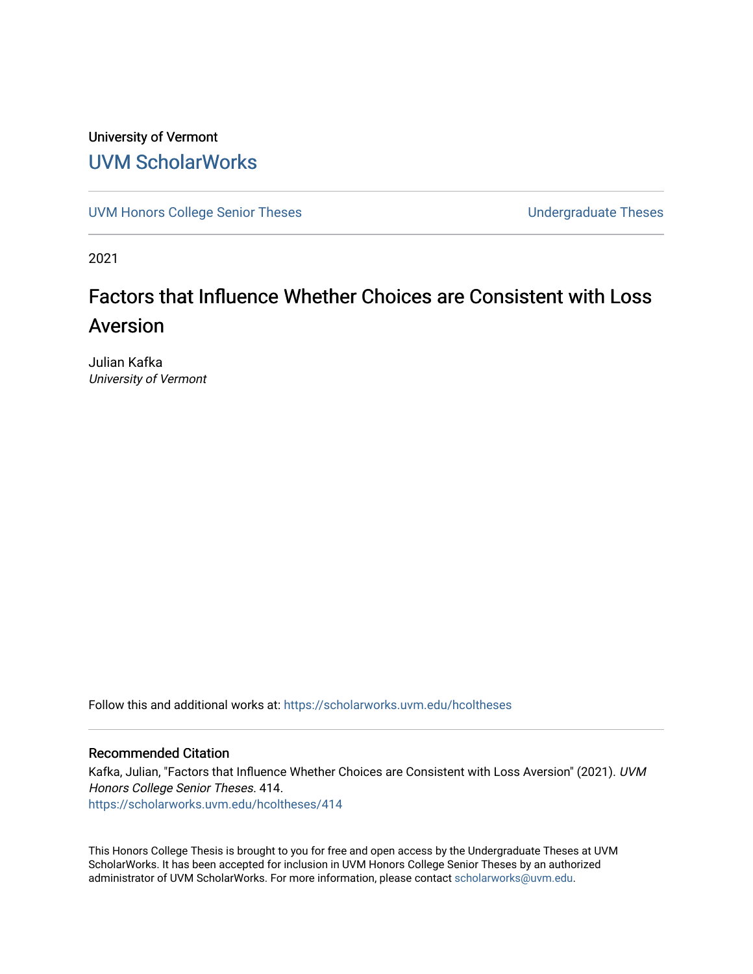# University of Vermont [UVM ScholarWorks](https://scholarworks.uvm.edu/)

[UVM Honors College Senior Theses](https://scholarworks.uvm.edu/hcoltheses) **Exercise Sension College Senior Theses** Undergraduate Theses

2021

# Factors that Influence Whether Choices are Consistent with Loss Aversion

Julian Kafka University of Vermont

Follow this and additional works at: [https://scholarworks.uvm.edu/hcoltheses](https://scholarworks.uvm.edu/hcoltheses?utm_source=scholarworks.uvm.edu%2Fhcoltheses%2F414&utm_medium=PDF&utm_campaign=PDFCoverPages) 

#### Recommended Citation

Kafka, Julian, "Factors that Influence Whether Choices are Consistent with Loss Aversion" (2021). UVM Honors College Senior Theses. 414. [https://scholarworks.uvm.edu/hcoltheses/414](https://scholarworks.uvm.edu/hcoltheses/414?utm_source=scholarworks.uvm.edu%2Fhcoltheses%2F414&utm_medium=PDF&utm_campaign=PDFCoverPages) 

This Honors College Thesis is brought to you for free and open access by the Undergraduate Theses at UVM ScholarWorks. It has been accepted for inclusion in UVM Honors College Senior Theses by an authorized administrator of UVM ScholarWorks. For more information, please contact [scholarworks@uvm.edu](mailto:scholarworks@uvm.edu).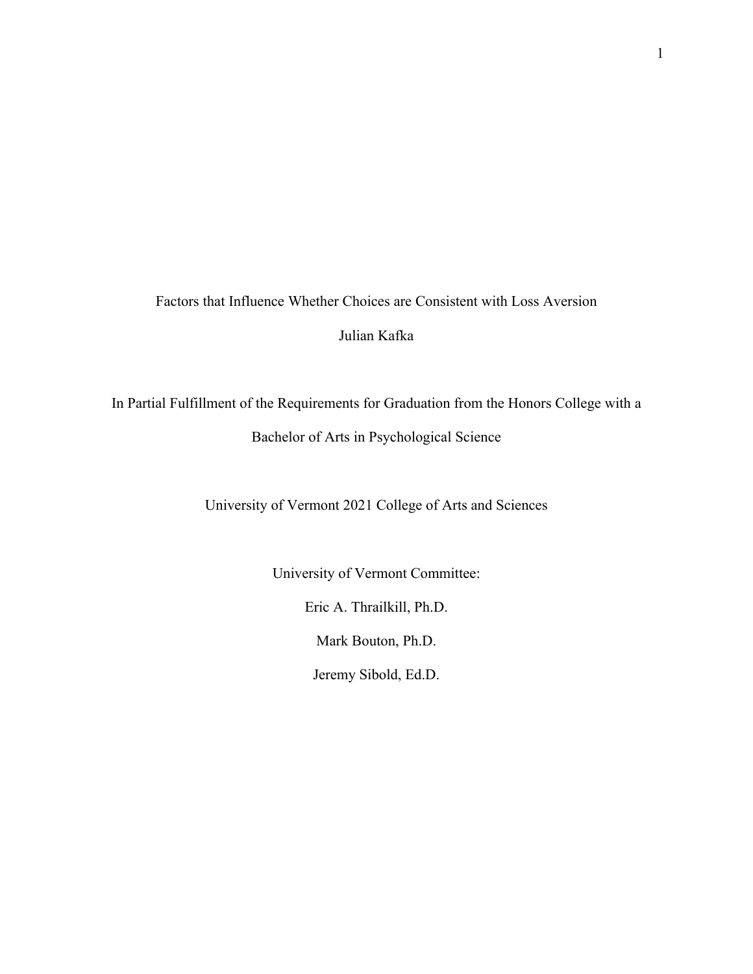Factors that Influence Whether Choices are Consistent with Loss Aversion

Julian Kafka

In Partial Fulfillment of the Requirements for Graduation from the Honors College with a

Bachelor of Arts in Psychological Science

University of Vermont 2021 College of Arts and Sciences

University of Vermont Committee:

Eric A. Thrailkill, Ph.D.

Mark Bouton, Ph.D.

Jeremy Sibold, Ed.D.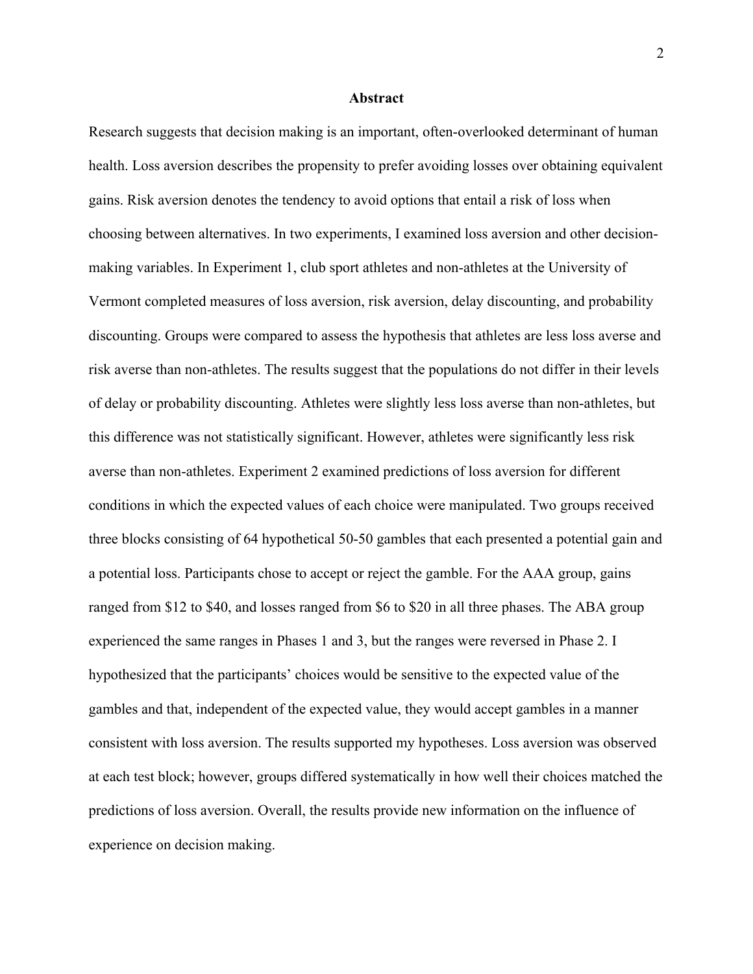#### **Abstract**

Research suggests that decision making is an important, often-overlooked determinant of human health. Loss aversion describes the propensity to prefer avoiding losses over obtaining equivalent gains. Risk aversion denotes the tendency to avoid options that entail a risk of loss when choosing between alternatives. In two experiments, I examined loss aversion and other decisionmaking variables. In Experiment 1, club sport athletes and non-athletes at the University of Vermont completed measures of loss aversion, risk aversion, delay discounting, and probability discounting. Groups were compared to assess the hypothesis that athletes are less loss averse and risk averse than non-athletes. The results suggest that the populations do not differ in their levels of delay or probability discounting. Athletes were slightly less loss averse than non-athletes, but this difference was not statistically significant. However, athletes were significantly less risk averse than non-athletes. Experiment 2 examined predictions of loss aversion for different conditions in which the expected values of each choice were manipulated. Two groups received three blocks consisting of 64 hypothetical 50-50 gambles that each presented a potential gain and a potential loss. Participants chose to accept or reject the gamble. For the AAA group, gains ranged from \$12 to \$40, and losses ranged from \$6 to \$20 in all three phases. The ABA group experienced the same ranges in Phases 1 and 3, but the ranges were reversed in Phase 2. I hypothesized that the participants' choices would be sensitive to the expected value of the gambles and that, independent of the expected value, they would accept gambles in a manner consistent with loss aversion. The results supported my hypotheses. Loss aversion was observed at each test block; however, groups differed systematically in how well their choices matched the predictions of loss aversion. Overall, the results provide new information on the influence of experience on decision making.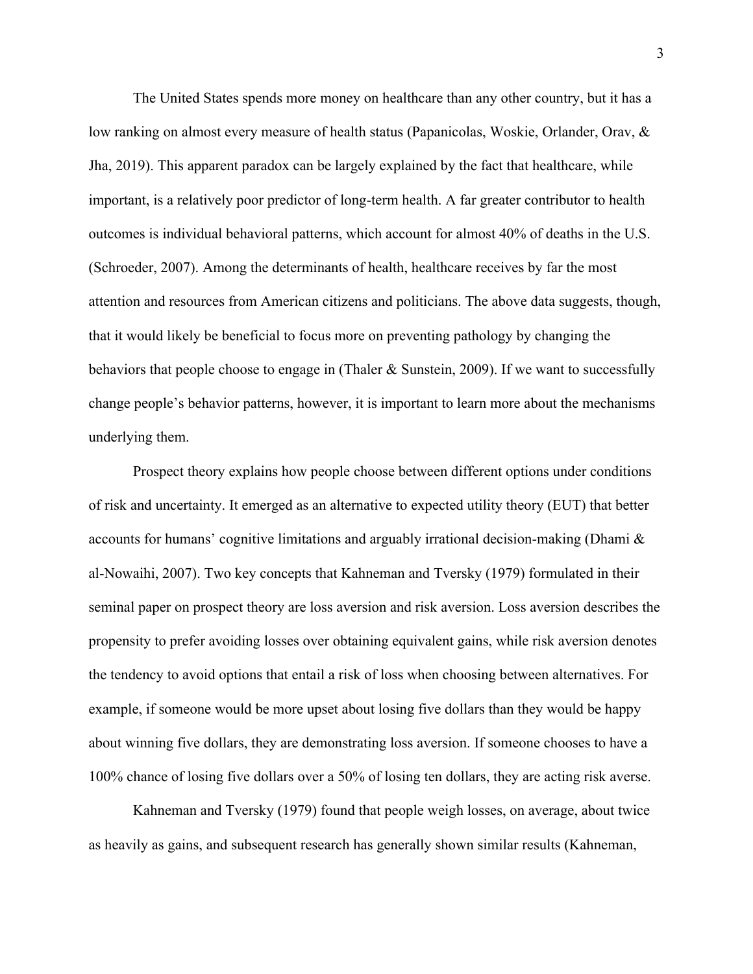The United States spends more money on healthcare than any other country, but it has a low ranking on almost every measure of health status (Papanicolas, Woskie, Orlander, Orav, & Jha, 2019). This apparent paradox can be largely explained by the fact that healthcare, while important, is a relatively poor predictor of long-term health. A far greater contributor to health outcomes is individual behavioral patterns, which account for almost 40% of deaths in the U.S. (Schroeder, 2007). Among the determinants of health, healthcare receives by far the most attention and resources from American citizens and politicians. The above data suggests, though, that it would likely be beneficial to focus more on preventing pathology by changing the behaviors that people choose to engage in (Thaler & Sunstein, 2009). If we want to successfully change people's behavior patterns, however, it is important to learn more about the mechanisms underlying them.

Prospect theory explains how people choose between different options under conditions of risk and uncertainty. It emerged as an alternative to expected utility theory (EUT) that better accounts for humans' cognitive limitations and arguably irrational decision-making (Dhami & al-Nowaihi, 2007). Two key concepts that Kahneman and Tversky (1979) formulated in their seminal paper on prospect theory are loss aversion and risk aversion. Loss aversion describes the propensity to prefer avoiding losses over obtaining equivalent gains, while risk aversion denotes the tendency to avoid options that entail a risk of loss when choosing between alternatives. For example, if someone would be more upset about losing five dollars than they would be happy about winning five dollars, they are demonstrating loss aversion. If someone chooses to have a 100% chance of losing five dollars over a 50% of losing ten dollars, they are acting risk averse.

Kahneman and Tversky (1979) found that people weigh losses, on average, about twice as heavily as gains, and subsequent research has generally shown similar results (Kahneman,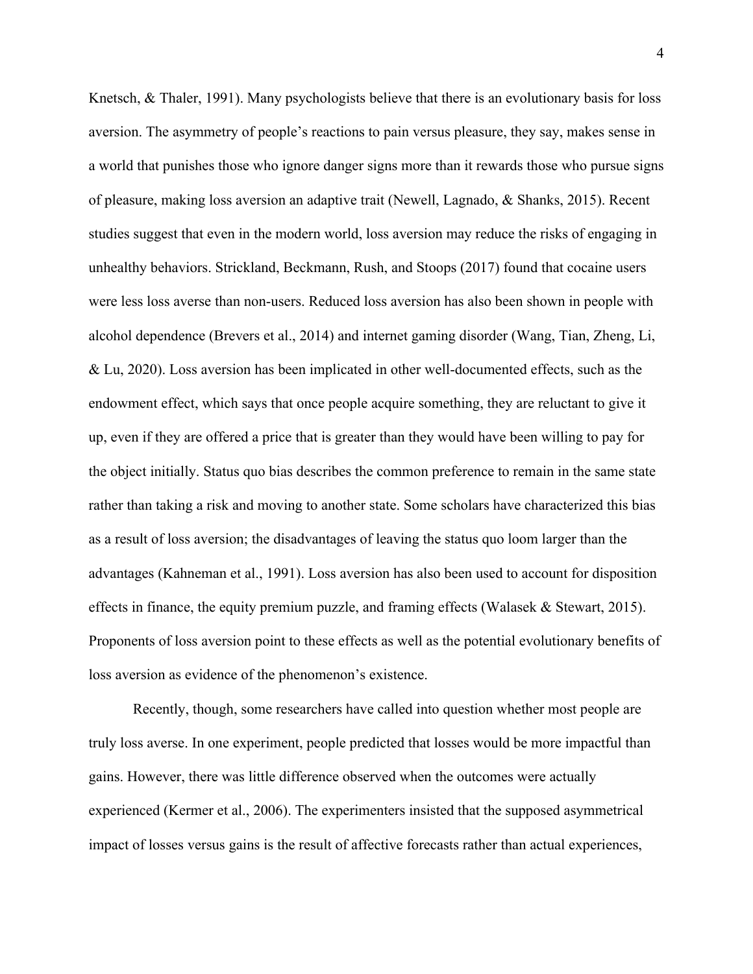Knetsch, & Thaler, 1991). Many psychologists believe that there is an evolutionary basis for loss aversion. The asymmetry of people's reactions to pain versus pleasure, they say, makes sense in a world that punishes those who ignore danger signs more than it rewards those who pursue signs of pleasure, making loss aversion an adaptive trait (Newell, Lagnado, & Shanks, 2015). Recent studies suggest that even in the modern world, loss aversion may reduce the risks of engaging in unhealthy behaviors. Strickland, Beckmann, Rush, and Stoops (2017) found that cocaine users were less loss averse than non-users. Reduced loss aversion has also been shown in people with alcohol dependence (Brevers et al., 2014) and internet gaming disorder (Wang, Tian, Zheng, Li, & Lu, 2020). Loss aversion has been implicated in other well-documented effects, such as the endowment effect, which says that once people acquire something, they are reluctant to give it up, even if they are offered a price that is greater than they would have been willing to pay for the object initially. Status quo bias describes the common preference to remain in the same state rather than taking a risk and moving to another state. Some scholars have characterized this bias as a result of loss aversion; the disadvantages of leaving the status quo loom larger than the advantages (Kahneman et al., 1991). Loss aversion has also been used to account for disposition effects in finance, the equity premium puzzle, and framing effects (Walasek & Stewart, 2015). Proponents of loss aversion point to these effects as well as the potential evolutionary benefits of loss aversion as evidence of the phenomenon's existence.

Recently, though, some researchers have called into question whether most people are truly loss averse. In one experiment, people predicted that losses would be more impactful than gains. However, there was little difference observed when the outcomes were actually experienced (Kermer et al., 2006). The experimenters insisted that the supposed asymmetrical impact of losses versus gains is the result of affective forecasts rather than actual experiences,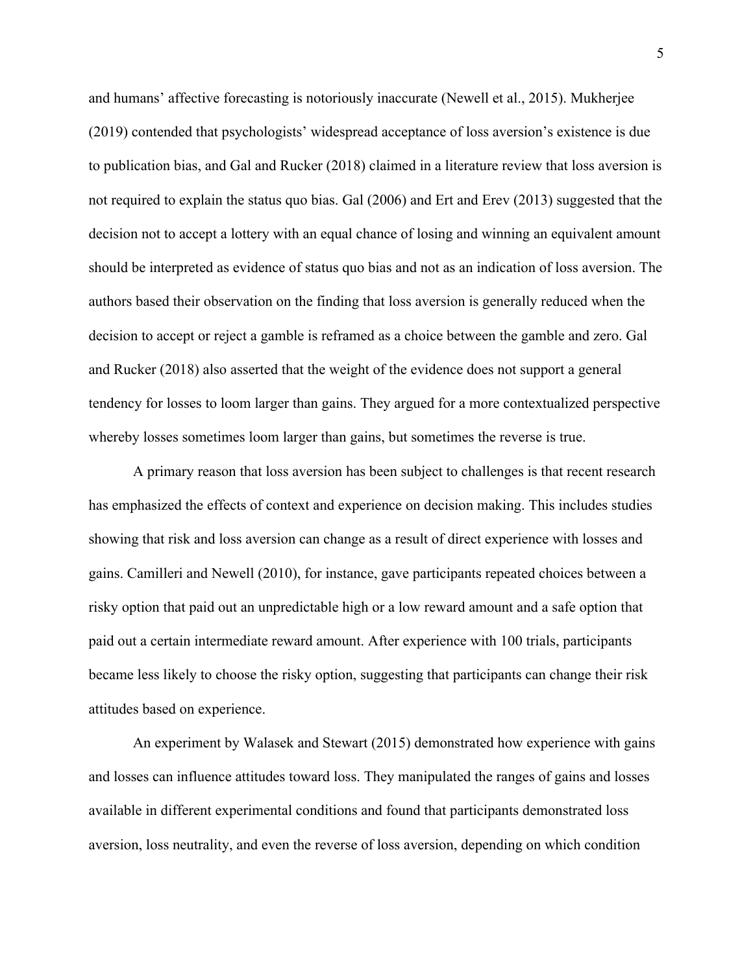and humans' affective forecasting is notoriously inaccurate (Newell et al., 2015). Mukherjee (2019) contended that psychologists' widespread acceptance of loss aversion's existence is due to publication bias, and Gal and Rucker (2018) claimed in a literature review that loss aversion is not required to explain the status quo bias. Gal (2006) and Ert and Erev (2013) suggested that the decision not to accept a lottery with an equal chance of losing and winning an equivalent amount should be interpreted as evidence of status quo bias and not as an indication of loss aversion. The authors based their observation on the finding that loss aversion is generally reduced when the decision to accept or reject a gamble is reframed as a choice between the gamble and zero. Gal and Rucker (2018) also asserted that the weight of the evidence does not support a general tendency for losses to loom larger than gains. They argued for a more contextualized perspective whereby losses sometimes loom larger than gains, but sometimes the reverse is true.

A primary reason that loss aversion has been subject to challenges is that recent research has emphasized the effects of context and experience on decision making. This includes studies showing that risk and loss aversion can change as a result of direct experience with losses and gains. Camilleri and Newell (2010), for instance, gave participants repeated choices between a risky option that paid out an unpredictable high or a low reward amount and a safe option that paid out a certain intermediate reward amount. After experience with 100 trials, participants became less likely to choose the risky option, suggesting that participants can change their risk attitudes based on experience.

An experiment by Walasek and Stewart (2015) demonstrated how experience with gains and losses can influence attitudes toward loss. They manipulated the ranges of gains and losses available in different experimental conditions and found that participants demonstrated loss aversion, loss neutrality, and even the reverse of loss aversion, depending on which condition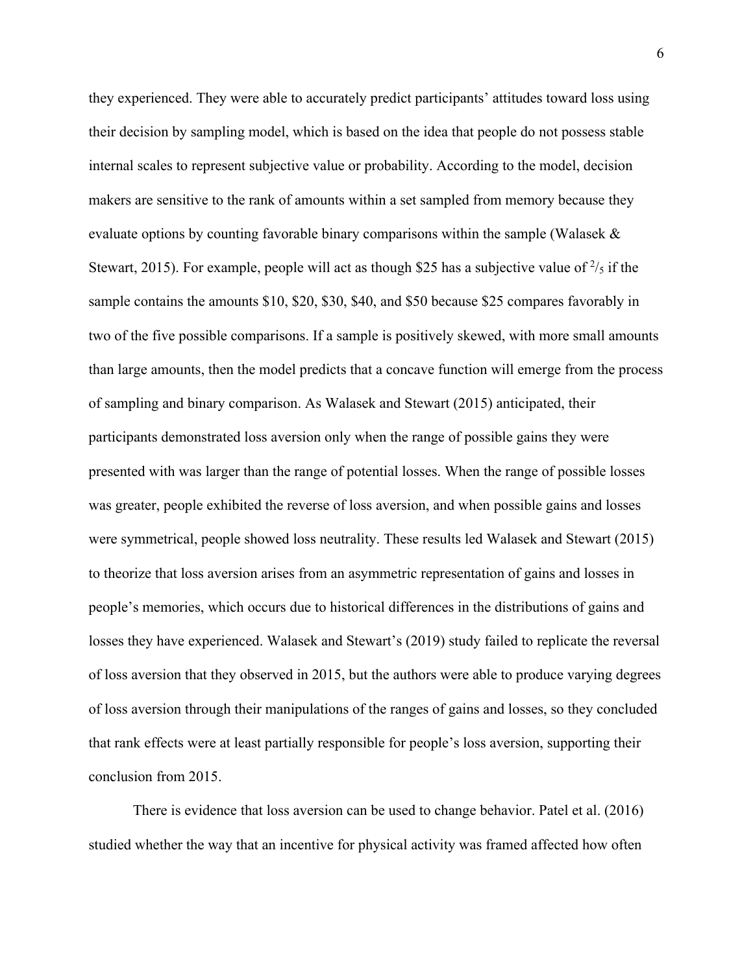they experienced. They were able to accurately predict participants' attitudes toward loss using their decision by sampling model, which is based on the idea that people do not possess stable internal scales to represent subjective value or probability. According to the model, decision makers are sensitive to the rank of amounts within a set sampled from memory because they evaluate options by counting favorable binary comparisons within the sample (Walasek  $\&$ Stewart, 2015). For example, people will act as though \$25 has a subjective value of  $\frac{2}{5}$  if the sample contains the amounts \$10, \$20, \$30, \$40, and \$50 because \$25 compares favorably in two of the five possible comparisons. If a sample is positively skewed, with more small amounts than large amounts, then the model predicts that a concave function will emerge from the process of sampling and binary comparison. As Walasek and Stewart (2015) anticipated, their participants demonstrated loss aversion only when the range of possible gains they were presented with was larger than the range of potential losses. When the range of possible losses was greater, people exhibited the reverse of loss aversion, and when possible gains and losses were symmetrical, people showed loss neutrality. These results led Walasek and Stewart (2015) to theorize that loss aversion arises from an asymmetric representation of gains and losses in people's memories, which occurs due to historical differences in the distributions of gains and losses they have experienced. Walasek and Stewart's (2019) study failed to replicate the reversal of loss aversion that they observed in 2015, but the authors were able to produce varying degrees of loss aversion through their manipulations of the ranges of gains and losses, so they concluded that rank effects were at least partially responsible for people's loss aversion, supporting their conclusion from 2015.

There is evidence that loss aversion can be used to change behavior. Patel et al. (2016) studied whether the way that an incentive for physical activity was framed affected how often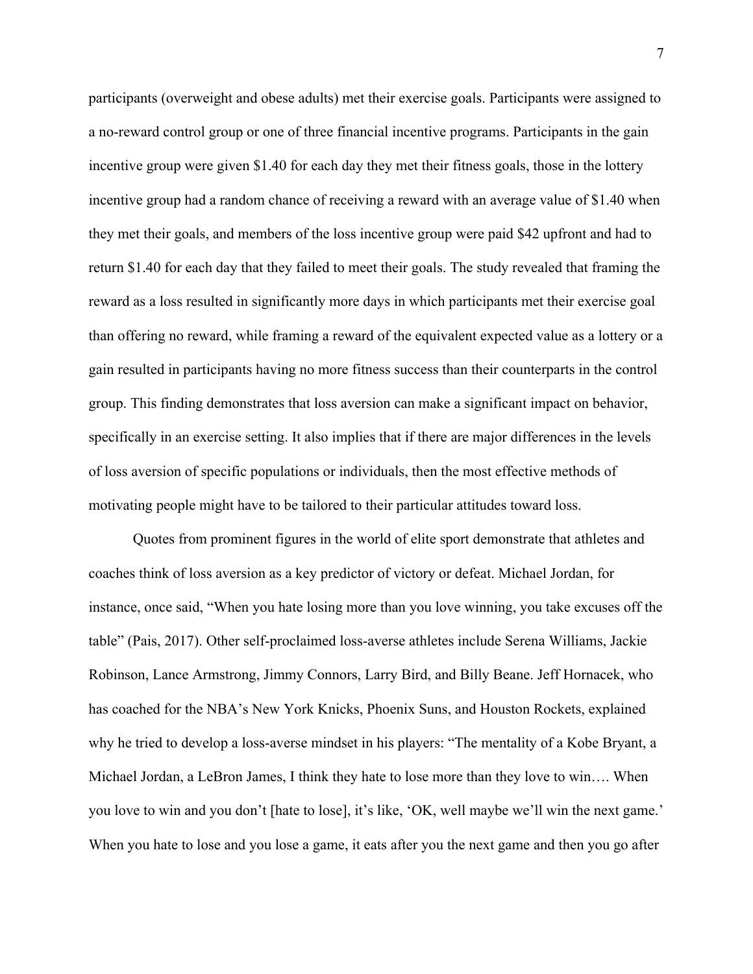participants (overweight and obese adults) met their exercise goals. Participants were assigned to a no-reward control group or one of three financial incentive programs. Participants in the gain incentive group were given \$1.40 for each day they met their fitness goals, those in the lottery incentive group had a random chance of receiving a reward with an average value of \$1.40 when they met their goals, and members of the loss incentive group were paid \$42 upfront and had to return \$1.40 for each day that they failed to meet their goals. The study revealed that framing the reward as a loss resulted in significantly more days in which participants met their exercise goal than offering no reward, while framing a reward of the equivalent expected value as a lottery or a gain resulted in participants having no more fitness success than their counterparts in the control group. This finding demonstrates that loss aversion can make a significant impact on behavior, specifically in an exercise setting. It also implies that if there are major differences in the levels of loss aversion of specific populations or individuals, then the most effective methods of motivating people might have to be tailored to their particular attitudes toward loss.

Quotes from prominent figures in the world of elite sport demonstrate that athletes and coaches think of loss aversion as a key predictor of victory or defeat. Michael Jordan, for instance, once said, "When you hate losing more than you love winning, you take excuses off the table" (Pais, 2017). Other self-proclaimed loss-averse athletes include Serena Williams, Jackie Robinson, Lance Armstrong, Jimmy Connors, Larry Bird, and Billy Beane. Jeff Hornacek, who has coached for the NBA's New York Knicks, Phoenix Suns, and Houston Rockets, explained why he tried to develop a loss-averse mindset in his players: "The mentality of a Kobe Bryant, a Michael Jordan, a LeBron James, I think they hate to lose more than they love to win…. When you love to win and you don't [hate to lose], it's like, 'OK, well maybe we'll win the next game.' When you hate to lose and you lose a game, it eats after you the next game and then you go after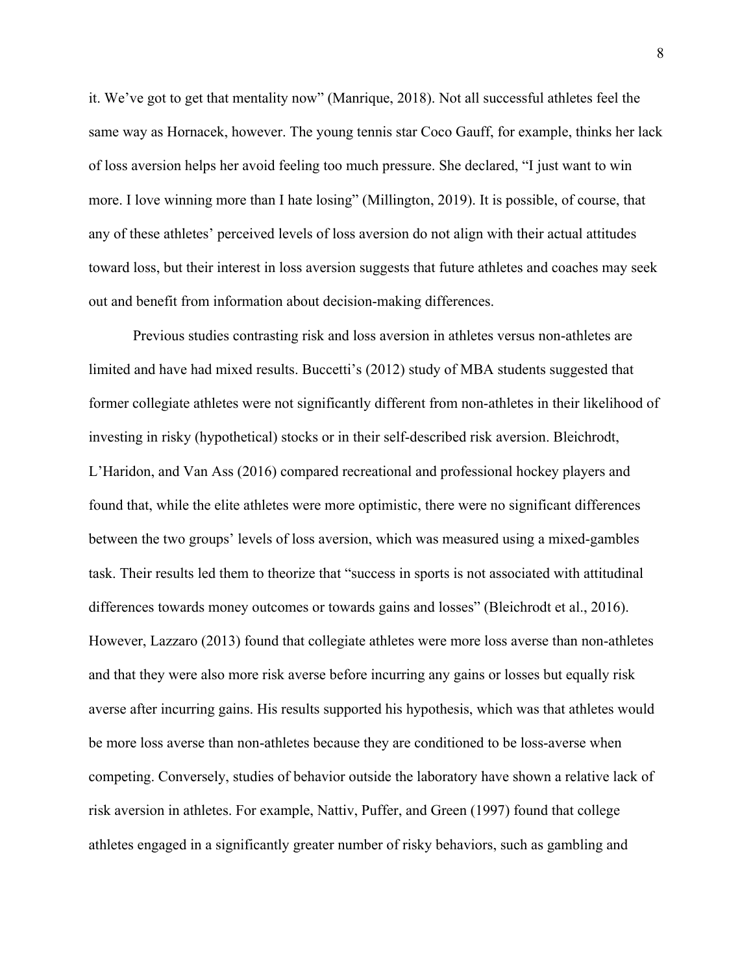it. We've got to get that mentality now" (Manrique, 2018). Not all successful athletes feel the same way as Hornacek, however. The young tennis star Coco Gauff, for example, thinks her lack of loss aversion helps her avoid feeling too much pressure. She declared, "I just want to win more. I love winning more than I hate losing" (Millington, 2019). It is possible, of course, that any of these athletes' perceived levels of loss aversion do not align with their actual attitudes toward loss, but their interest in loss aversion suggests that future athletes and coaches may seek out and benefit from information about decision-making differences.

Previous studies contrasting risk and loss aversion in athletes versus non-athletes are limited and have had mixed results. Buccetti's (2012) study of MBA students suggested that former collegiate athletes were not significantly different from non-athletes in their likelihood of investing in risky (hypothetical) stocks or in their self-described risk aversion. Bleichrodt, L'Haridon, and Van Ass (2016) compared recreational and professional hockey players and found that, while the elite athletes were more optimistic, there were no significant differences between the two groups' levels of loss aversion, which was measured using a mixed-gambles task. Their results led them to theorize that "success in sports is not associated with attitudinal differences towards money outcomes or towards gains and losses" (Bleichrodt et al., 2016). However, Lazzaro (2013) found that collegiate athletes were more loss averse than non-athletes and that they were also more risk averse before incurring any gains or losses but equally risk averse after incurring gains. His results supported his hypothesis, which was that athletes would be more loss averse than non-athletes because they are conditioned to be loss-averse when competing. Conversely, studies of behavior outside the laboratory have shown a relative lack of risk aversion in athletes. For example, Nattiv, Puffer, and Green (1997) found that college athletes engaged in a significantly greater number of risky behaviors, such as gambling and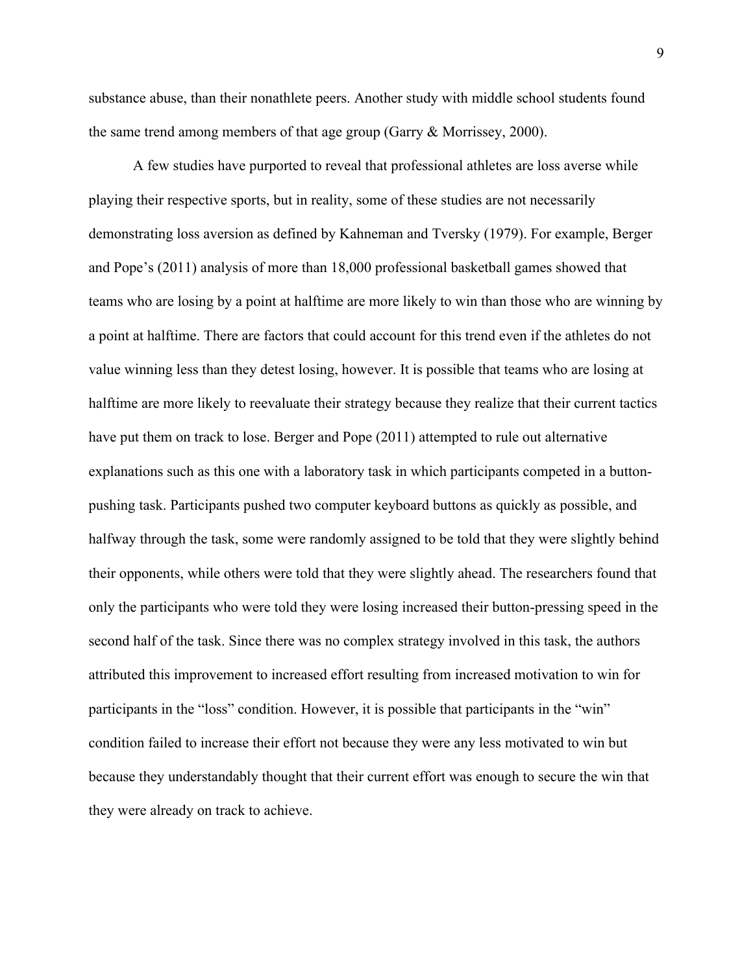substance abuse, than their nonathlete peers. Another study with middle school students found the same trend among members of that age group (Garry & Morrissey, 2000).

A few studies have purported to reveal that professional athletes are loss averse while playing their respective sports, but in reality, some of these studies are not necessarily demonstrating loss aversion as defined by Kahneman and Tversky (1979). For example, Berger and Pope's (2011) analysis of more than 18,000 professional basketball games showed that teams who are losing by a point at halftime are more likely to win than those who are winning by a point at halftime. There are factors that could account for this trend even if the athletes do not value winning less than they detest losing, however. It is possible that teams who are losing at halftime are more likely to reevaluate their strategy because they realize that their current tactics have put them on track to lose. Berger and Pope (2011) attempted to rule out alternative explanations such as this one with a laboratory task in which participants competed in a buttonpushing task. Participants pushed two computer keyboard buttons as quickly as possible, and halfway through the task, some were randomly assigned to be told that they were slightly behind their opponents, while others were told that they were slightly ahead. The researchers found that only the participants who were told they were losing increased their button-pressing speed in the second half of the task. Since there was no complex strategy involved in this task, the authors attributed this improvement to increased effort resulting from increased motivation to win for participants in the "loss" condition. However, it is possible that participants in the "win" condition failed to increase their effort not because they were any less motivated to win but because they understandably thought that their current effort was enough to secure the win that they were already on track to achieve.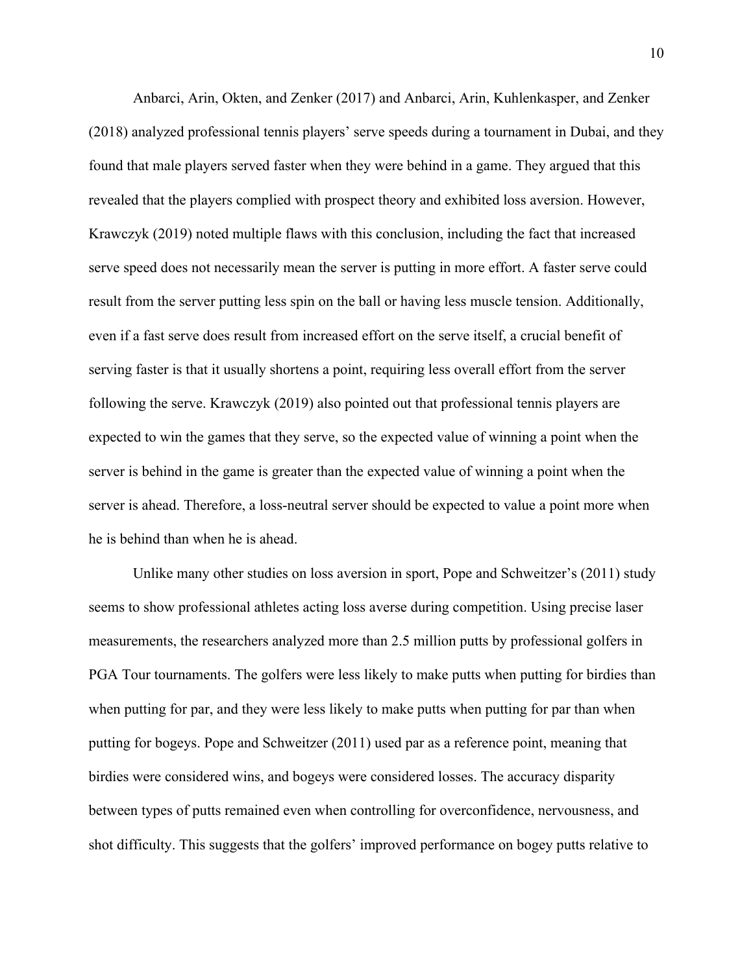Anbarci, Arin, Okten, and Zenker (2017) and Anbarci, Arin, Kuhlenkasper, and Zenker (2018) analyzed professional tennis players' serve speeds during a tournament in Dubai, and they found that male players served faster when they were behind in a game. They argued that this revealed that the players complied with prospect theory and exhibited loss aversion. However, Krawczyk (2019) noted multiple flaws with this conclusion, including the fact that increased serve speed does not necessarily mean the server is putting in more effort. A faster serve could result from the server putting less spin on the ball or having less muscle tension. Additionally, even if a fast serve does result from increased effort on the serve itself, a crucial benefit of serving faster is that it usually shortens a point, requiring less overall effort from the server following the serve. Krawczyk (2019) also pointed out that professional tennis players are expected to win the games that they serve, so the expected value of winning a point when the server is behind in the game is greater than the expected value of winning a point when the server is ahead. Therefore, a loss-neutral server should be expected to value a point more when he is behind than when he is ahead.

Unlike many other studies on loss aversion in sport, Pope and Schweitzer's (2011) study seems to show professional athletes acting loss averse during competition. Using precise laser measurements, the researchers analyzed more than 2.5 million putts by professional golfers in PGA Tour tournaments. The golfers were less likely to make putts when putting for birdies than when putting for par, and they were less likely to make putts when putting for par than when putting for bogeys. Pope and Schweitzer (2011) used par as a reference point, meaning that birdies were considered wins, and bogeys were considered losses. The accuracy disparity between types of putts remained even when controlling for overconfidence, nervousness, and shot difficulty. This suggests that the golfers' improved performance on bogey putts relative to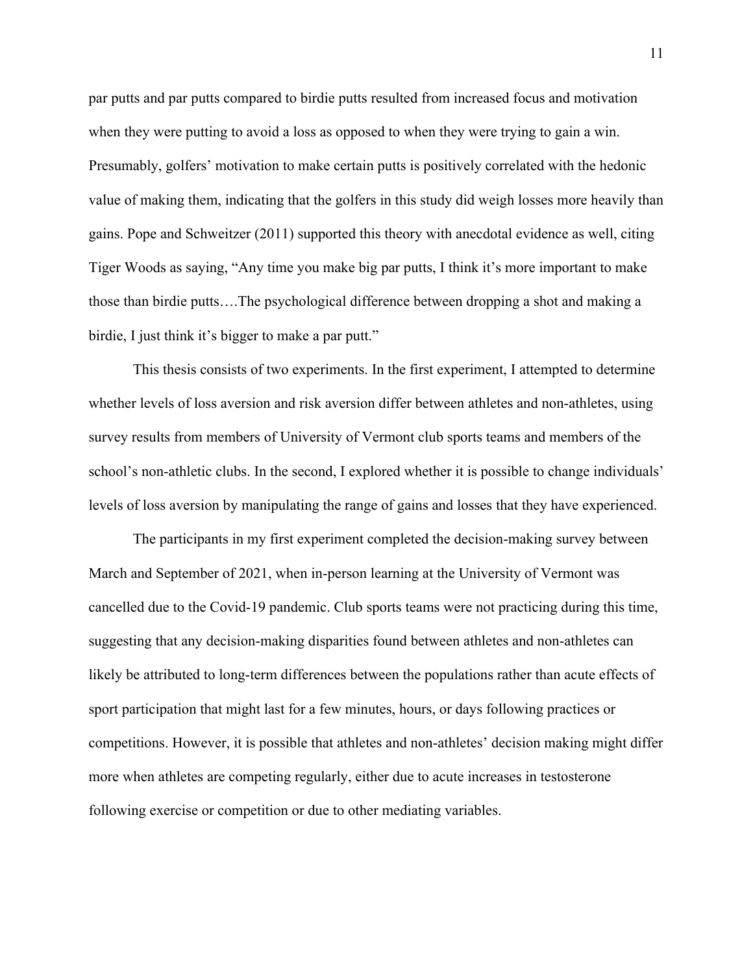par putts and par putts compared to birdie putts resulted from increased focus and motivation when they were putting to avoid a loss as opposed to when they were trying to gain a win. Presumably, golfers' motivation to make certain putts is positively correlated with the hedonic value of making them, indicating that the golfers in this study did weigh losses more heavily than gains. Pope and Schweitzer (2011) supported this theory with anecdotal evidence as well, citing Tiger Woods as saying, "Any time you make big par putts, I think it's more important to make those than birdie putts….The psychological difference between dropping a shot and making a birdie, I just think it's bigger to make a par putt."

This thesis consists of two experiments. In the first experiment, I attempted to determine whether levels of loss aversion and risk aversion differ between athletes and non-athletes, using survey results from members of University of Vermont club sports teams and members of the school's non-athletic clubs. In the second, I explored whether it is possible to change individuals' levels of loss aversion by manipulating the range of gains and losses that they have experienced.

The participants in my first experiment completed the decision-making survey between March and September of 2021, when in-person learning at the University of Vermont was cancelled due to the Covid-19 pandemic. Club sports teams were not practicing during this time, suggesting that any decision-making disparities found between athletes and non-athletes can likely be attributed to long-term differences between the populations rather than acute effects of sport participation that might last for a few minutes, hours, or days following practices or competitions. However, it is possible that athletes and non-athletes' decision making might differ more when athletes are competing regularly, either due to acute increases in testosterone following exercise or competition or due to other mediating variables.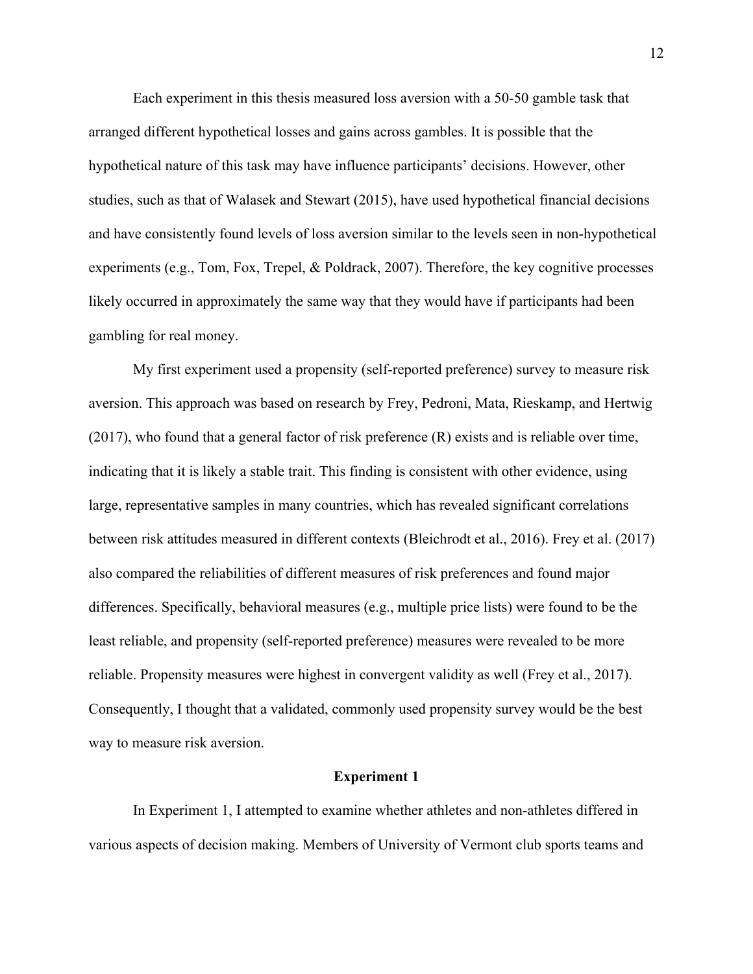Each experiment in this thesis measured loss aversion with a 50-50 gamble task that arranged different hypothetical losses and gains across gambles. It is possible that the hypothetical nature of this task may have influence participants' decisions. However, other studies, such as that of Walasek and Stewart (2015), have used hypothetical financial decisions and have consistently found levels of loss aversion similar to the levels seen in non-hypothetical experiments (e.g., Tom, Fox, Trepel, & Poldrack, 2007). Therefore, the key cognitive processes likely occurred in approximately the same way that they would have if participants had been gambling for real money.

My first experiment used a propensity (self-reported preference) survey to measure risk aversion. This approach was based on research by Frey, Pedroni, Mata, Rieskamp, and Hertwig (2017), who found that a general factor of risk preference (R) exists and is reliable over time, indicating that it is likely a stable trait. This finding is consistent with other evidence, using large, representative samples in many countries, which has revealed significant correlations between risk attitudes measured in different contexts (Bleichrodt et al., 2016). Frey et al. (2017) also compared the reliabilities of different measures of risk preferences and found major differences. Specifically, behavioral measures (e.g., multiple price lists) were found to be the least reliable, and propensity (self-reported preference) measures were revealed to be more reliable. Propensity measures were highest in convergent validity as well (Frey et al., 2017). Consequently, I thought that a validated, commonly used propensity survey would be the best way to measure risk aversion.

#### **Experiment 1**

In Experiment 1, I attempted to examine whether athletes and non-athletes differed in various aspects of decision making. Members of University of Vermont club sports teams and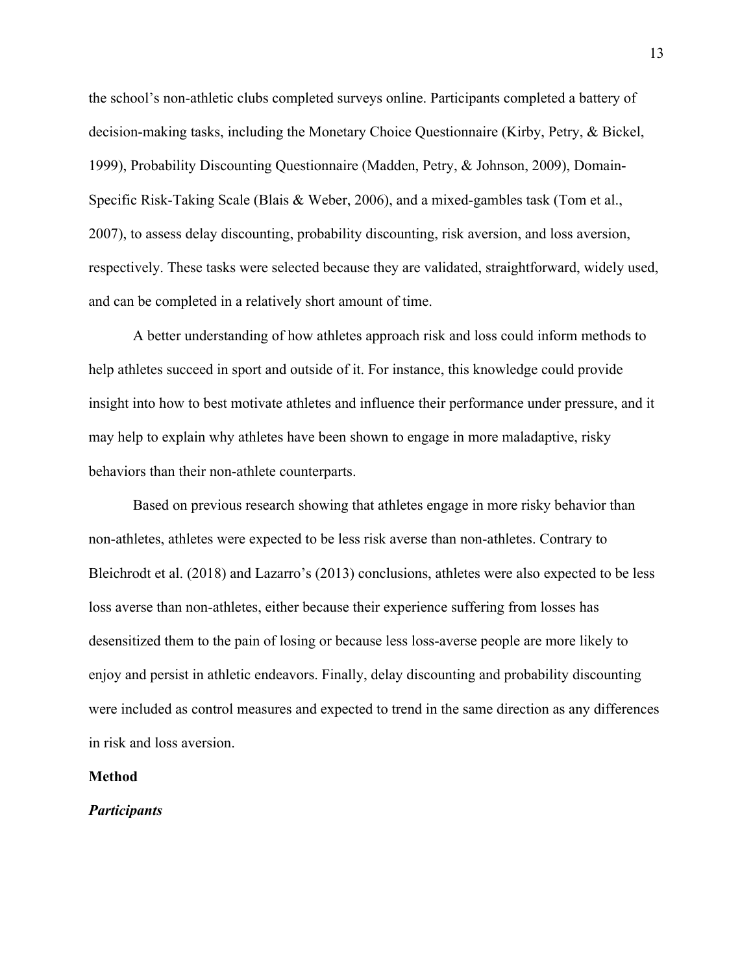the school's non-athletic clubs completed surveys online. Participants completed a battery of decision-making tasks, including the Monetary Choice Questionnaire (Kirby, Petry, & Bickel, 1999), Probability Discounting Questionnaire (Madden, Petry, & Johnson, 2009), Domain-Specific Risk-Taking Scale (Blais & Weber, 2006), and a mixed-gambles task (Tom et al., 2007), to assess delay discounting, probability discounting, risk aversion, and loss aversion, respectively. These tasks were selected because they are validated, straightforward, widely used, and can be completed in a relatively short amount of time.

A better understanding of how athletes approach risk and loss could inform methods to help athletes succeed in sport and outside of it. For instance, this knowledge could provide insight into how to best motivate athletes and influence their performance under pressure, and it may help to explain why athletes have been shown to engage in more maladaptive, risky behaviors than their non-athlete counterparts.

Based on previous research showing that athletes engage in more risky behavior than non-athletes, athletes were expected to be less risk averse than non-athletes. Contrary to Bleichrodt et al. (2018) and Lazarro's (2013) conclusions, athletes were also expected to be less loss averse than non-athletes, either because their experience suffering from losses has desensitized them to the pain of losing or because less loss-averse people are more likely to enjoy and persist in athletic endeavors. Finally, delay discounting and probability discounting were included as control measures and expected to trend in the same direction as any differences in risk and loss aversion.

#### **Method**

#### *Participants*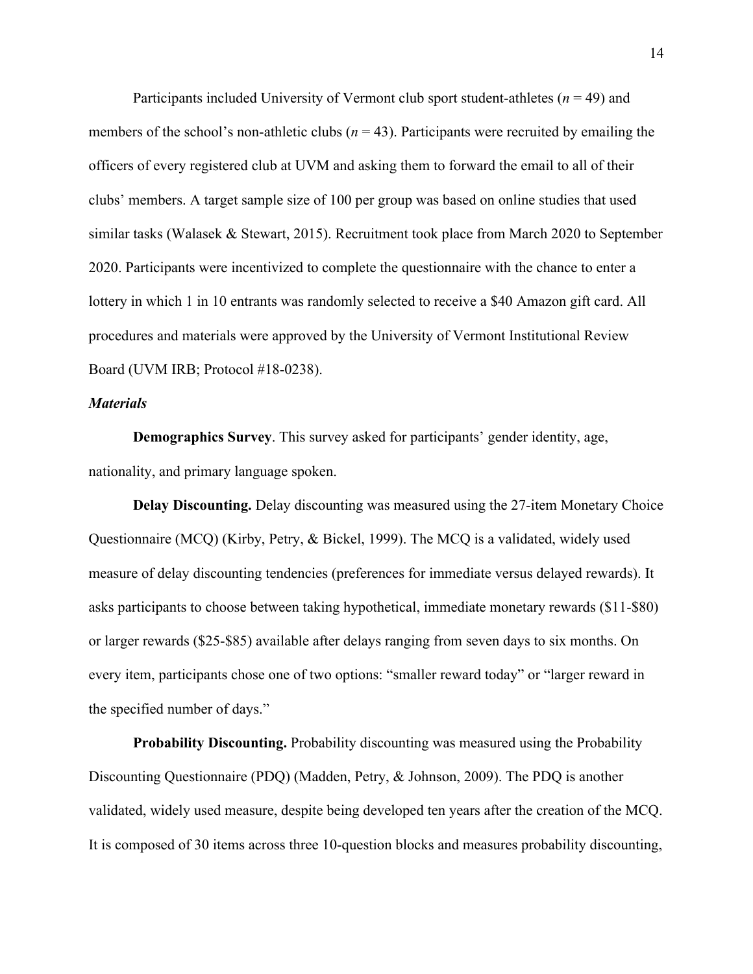Participants included University of Vermont club sport student-athletes (*n* = 49) and members of the school's non-athletic clubs  $(n = 43)$ . Participants were recruited by emailing the officers of every registered club at UVM and asking them to forward the email to all of their clubs' members. A target sample size of 100 per group was based on online studies that used similar tasks (Walasek & Stewart, 2015). Recruitment took place from March 2020 to September 2020. Participants were incentivized to complete the questionnaire with the chance to enter a lottery in which 1 in 10 entrants was randomly selected to receive a \$40 Amazon gift card. All procedures and materials were approved by the University of Vermont Institutional Review Board (UVM IRB; Protocol #18-0238).

#### *Materials*

**Demographics Survey**. This survey asked for participants' gender identity, age, nationality, and primary language spoken.

**Delay Discounting.** Delay discounting was measured using the 27-item Monetary Choice Questionnaire (MCQ) (Kirby, Petry, & Bickel, 1999). The MCQ is a validated, widely used measure of delay discounting tendencies (preferences for immediate versus delayed rewards). It asks participants to choose between taking hypothetical, immediate monetary rewards (\$11-\$80) or larger rewards (\$25-\$85) available after delays ranging from seven days to six months. On every item, participants chose one of two options: "smaller reward today" or "larger reward in the specified number of days."

**Probability Discounting.** Probability discounting was measured using the Probability Discounting Questionnaire (PDQ) (Madden, Petry, & Johnson, 2009). The PDQ is another validated, widely used measure, despite being developed ten years after the creation of the MCQ. It is composed of 30 items across three 10-question blocks and measures probability discounting,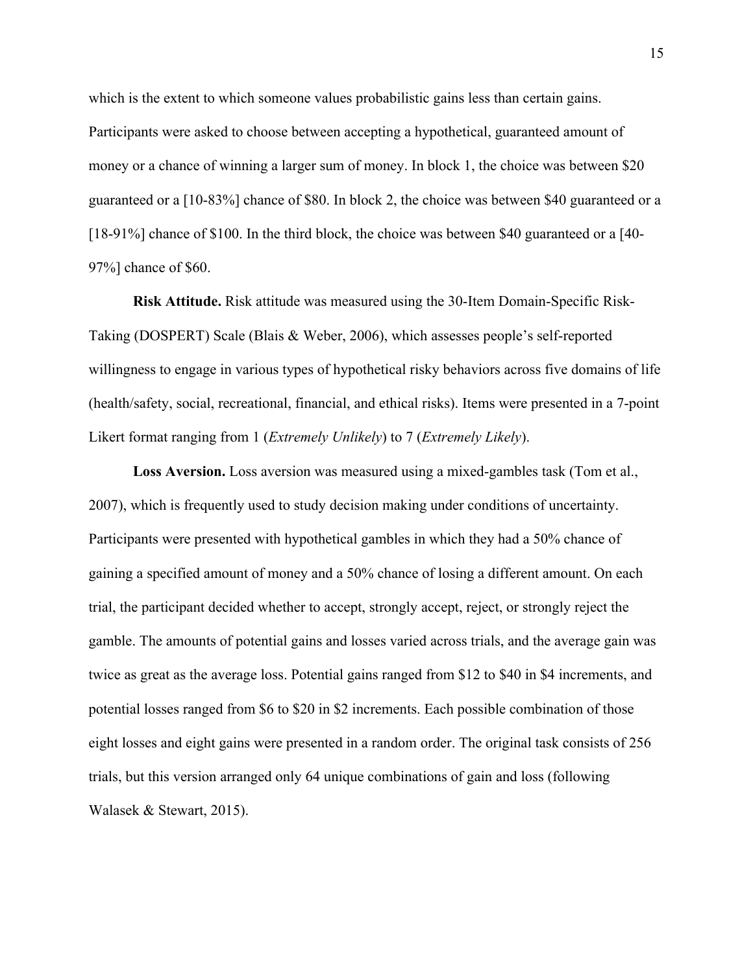which is the extent to which someone values probabilistic gains less than certain gains. Participants were asked to choose between accepting a hypothetical, guaranteed amount of money or a chance of winning a larger sum of money. In block 1, the choice was between \$20 guaranteed or a [10-83%] chance of \$80. In block 2, the choice was between \$40 guaranteed or a [18-91%] chance of \$100. In the third block, the choice was between \$40 guaranteed or a [40-97%] chance of \$60.

**Risk Attitude.** Risk attitude was measured using the 30-Item Domain-Specific Risk-Taking (DOSPERT) Scale (Blais & Weber, 2006), which assesses people's self-reported willingness to engage in various types of hypothetical risky behaviors across five domains of life (health/safety, social, recreational, financial, and ethical risks). Items were presented in a 7-point Likert format ranging from 1 (*Extremely Unlikely*) to 7 (*Extremely Likely*).

**Loss Aversion.** Loss aversion was measured using a mixed-gambles task (Tom et al., 2007), which is frequently used to study decision making under conditions of uncertainty. Participants were presented with hypothetical gambles in which they had a 50% chance of gaining a specified amount of money and a 50% chance of losing a different amount. On each trial, the participant decided whether to accept, strongly accept, reject, or strongly reject the gamble. The amounts of potential gains and losses varied across trials, and the average gain was twice as great as the average loss. Potential gains ranged from \$12 to \$40 in \$4 increments, and potential losses ranged from \$6 to \$20 in \$2 increments. Each possible combination of those eight losses and eight gains were presented in a random order. The original task consists of 256 trials, but this version arranged only 64 unique combinations of gain and loss (following Walasek & Stewart, 2015).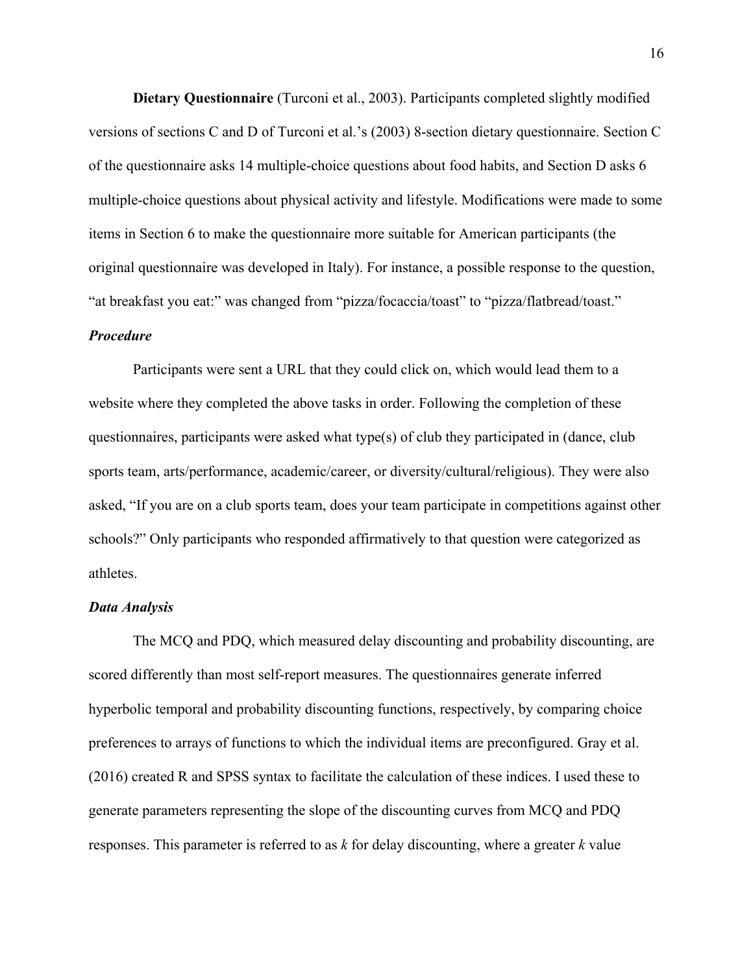**Dietary Questionnaire** (Turconi et al., 2003). Participants completed slightly modified versions of sections C and D of Turconi et al.'s (2003) 8-section dietary questionnaire. Section C of the questionnaire asks 14 multiple-choice questions about food habits, and Section D asks 6 multiple-choice questions about physical activity and lifestyle. Modifications were made to some items in Section 6 to make the questionnaire more suitable for American participants (the original questionnaire was developed in Italy). For instance, a possible response to the question, "at breakfast you eat:" was changed from "pizza/focaccia/toast" to "pizza/flatbread/toast."

#### *Procedure*

Participants were sent a URL that they could click on, which would lead them to a website where they completed the above tasks in order. Following the completion of these questionnaires, participants were asked what type(s) of club they participated in (dance, club sports team, arts/performance, academic/career, or diversity/cultural/religious). They were also asked, "If you are on a club sports team, does your team participate in competitions against other schools?" Only participants who responded affirmatively to that question were categorized as athletes.

#### *Data Analysis*

The MCQ and PDQ, which measured delay discounting and probability discounting, are scored differently than most self-report measures. The questionnaires generate inferred hyperbolic temporal and probability discounting functions, respectively, by comparing choice preferences to arrays of functions to which the individual items are preconfigured. Gray et al. (2016) created R and SPSS syntax to facilitate the calculation of these indices. I used these to generate parameters representing the slope of the discounting curves from MCQ and PDQ responses. This parameter is referred to as *k* for delay discounting, where a greater *k* value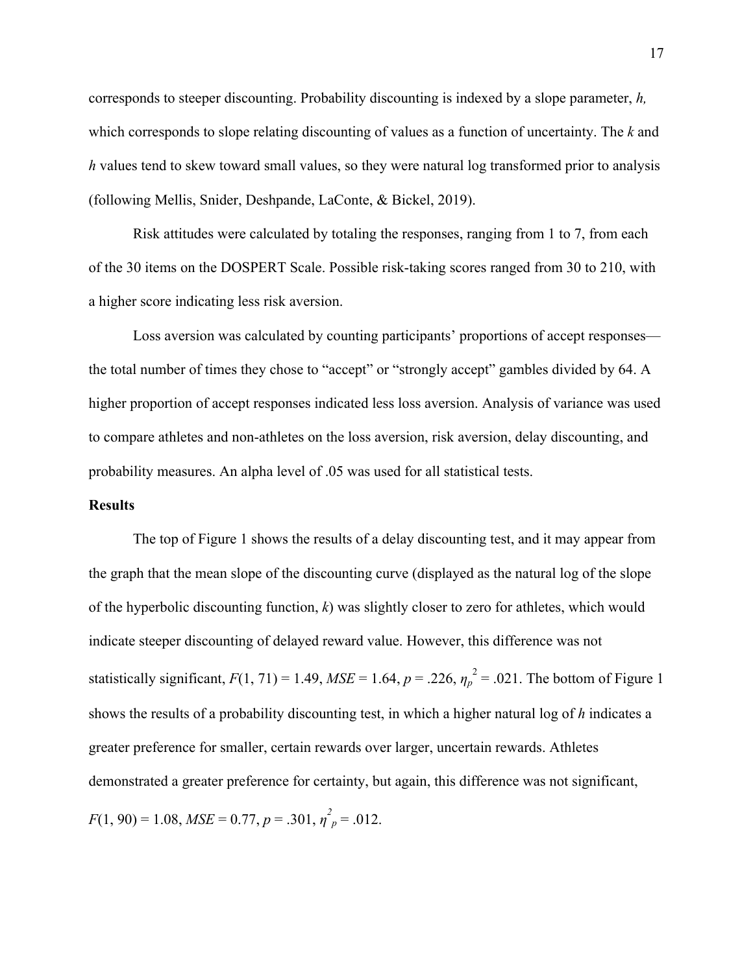corresponds to steeper discounting. Probability discounting is indexed by a slope parameter, *h,*  which corresponds to slope relating discounting of values as a function of uncertainty. The *k* and *h* values tend to skew toward small values, so they were natural log transformed prior to analysis (following Mellis, Snider, Deshpande, LaConte, & Bickel, 2019).

Risk attitudes were calculated by totaling the responses, ranging from 1 to 7, from each of the 30 items on the DOSPERT Scale. Possible risk-taking scores ranged from 30 to 210, with a higher score indicating less risk aversion.

Loss aversion was calculated by counting participants' proportions of accept responses the total number of times they chose to "accept" or "strongly accept" gambles divided by 64. A higher proportion of accept responses indicated less loss aversion. Analysis of variance was used to compare athletes and non-athletes on the loss aversion, risk aversion, delay discounting, and probability measures. An alpha level of .05 was used for all statistical tests.

#### **Results**

The top of Figure 1 shows the results of a delay discounting test, and it may appear from the graph that the mean slope of the discounting curve (displayed as the natural log of the slope of the hyperbolic discounting function, *k*) was slightly closer to zero for athletes, which would indicate steeper discounting of delayed reward value. However, this difference was not statistically significant,  $F(1, 71) = 1.49$ ,  $MSE = 1.64$ ,  $p = .226$ ,  $\eta_p^2 = .021$ . The bottom of Figure 1 shows the results of a probability discounting test, in which a higher natural log of *h* indicates a greater preference for smaller, certain rewards over larger, uncertain rewards. Athletes demonstrated a greater preference for certainty, but again, this difference was not significant,  $F(1, 90) = 1.08$ ,  $MSE = 0.77$ ,  $p = .301$ ,  $\eta^2_p = .012$ .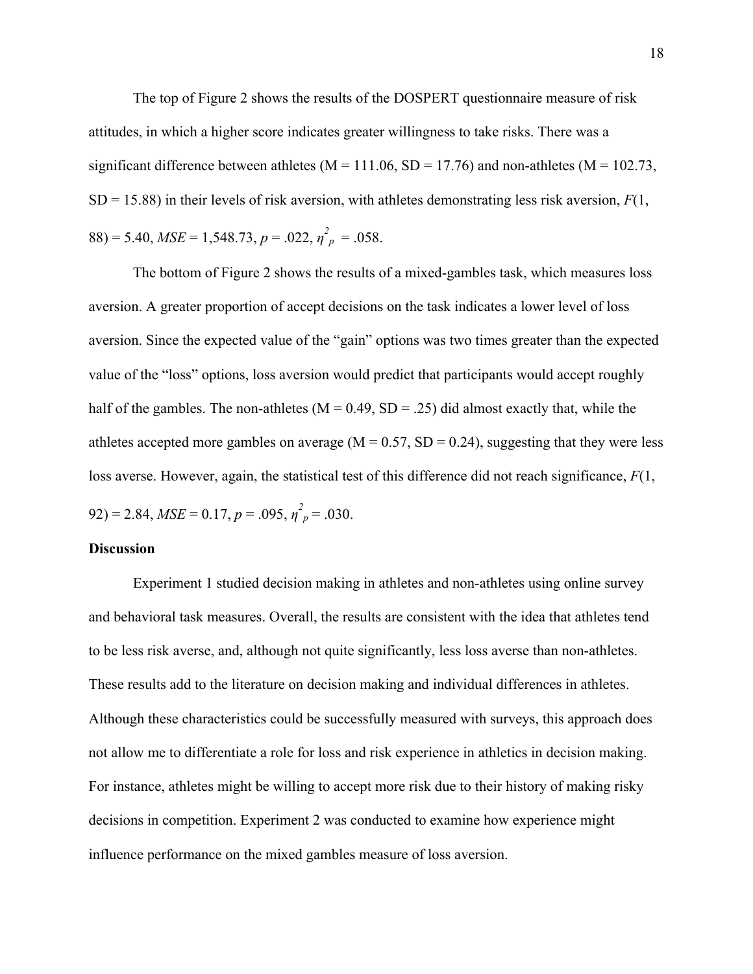The top of Figure 2 shows the results of the DOSPERT questionnaire measure of risk attitudes, in which a higher score indicates greater willingness to take risks. There was a significant difference between athletes ( $M = 111.06$ ,  $SD = 17.76$ ) and non-athletes ( $M = 102.73$ ,  $SD = 15.88$ ) in their levels of risk aversion, with athletes demonstrating less risk aversion,  $F(1, 1)$  $(88) = 5.40, \, MSE = 1,548.73, \, p = .022, \, \eta^2_{\ p} = .058.$ 

The bottom of Figure 2 shows the results of a mixed-gambles task, which measures loss aversion. A greater proportion of accept decisions on the task indicates a lower level of loss aversion. Since the expected value of the "gain" options was two times greater than the expected value of the "loss" options, loss aversion would predict that participants would accept roughly half of the gambles. The non-athletes ( $M = 0.49$ ,  $SD = .25$ ) did almost exactly that, while the athletes accepted more gambles on average ( $M = 0.57$ ,  $SD = 0.24$ ), suggesting that they were less loss averse. However, again, the statistical test of this difference did not reach significance, *F*(1,  $(92) = 2.84, MSE = 0.17, p = .095, \eta^2_p = .030.$ 

#### **Discussion**

Experiment 1 studied decision making in athletes and non-athletes using online survey and behavioral task measures. Overall, the results are consistent with the idea that athletes tend to be less risk averse, and, although not quite significantly, less loss averse than non-athletes. These results add to the literature on decision making and individual differences in athletes. Although these characteristics could be successfully measured with surveys, this approach does not allow me to differentiate a role for loss and risk experience in athletics in decision making. For instance, athletes might be willing to accept more risk due to their history of making risky decisions in competition. Experiment 2 was conducted to examine how experience might influence performance on the mixed gambles measure of loss aversion.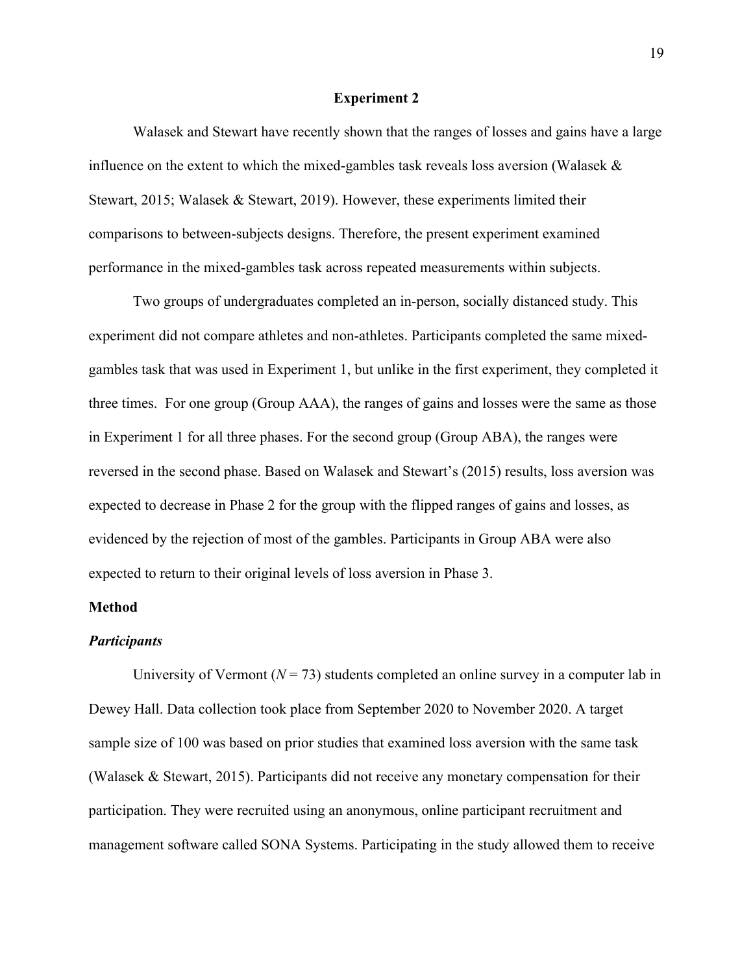#### **Experiment 2**

Walasek and Stewart have recently shown that the ranges of losses and gains have a large influence on the extent to which the mixed-gambles task reveals loss aversion (Walasek & Stewart, 2015; Walasek & Stewart, 2019). However, these experiments limited their comparisons to between-subjects designs. Therefore, the present experiment examined performance in the mixed-gambles task across repeated measurements within subjects.

Two groups of undergraduates completed an in-person, socially distanced study. This experiment did not compare athletes and non-athletes. Participants completed the same mixedgambles task that was used in Experiment 1, but unlike in the first experiment, they completed it three times. For one group (Group AAA), the ranges of gains and losses were the same as those in Experiment 1 for all three phases. For the second group (Group ABA), the ranges were reversed in the second phase. Based on Walasek and Stewart's (2015) results, loss aversion was expected to decrease in Phase 2 for the group with the flipped ranges of gains and losses, as evidenced by the rejection of most of the gambles. Participants in Group ABA were also expected to return to their original levels of loss aversion in Phase 3.

# **Method**

#### *Participants*

University of Vermont  $(N = 73)$  students completed an online survey in a computer lab in Dewey Hall. Data collection took place from September 2020 to November 2020. A target sample size of 100 was based on prior studies that examined loss aversion with the same task (Walasek & Stewart, 2015). Participants did not receive any monetary compensation for their participation. They were recruited using an anonymous, online participant recruitment and management software called SONA Systems. Participating in the study allowed them to receive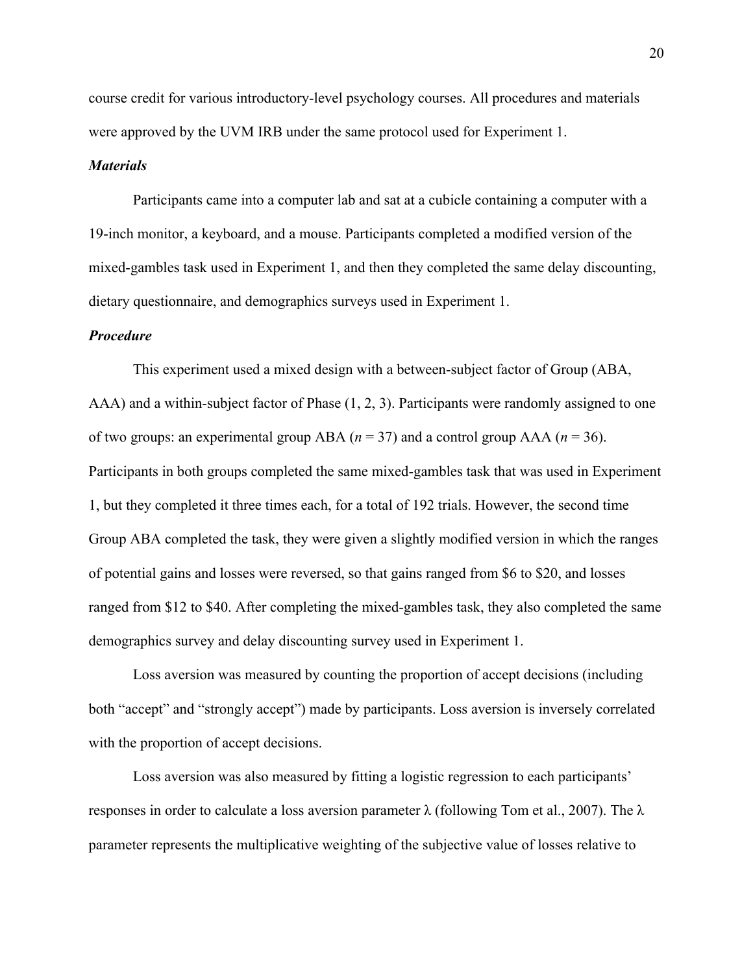course credit for various introductory-level psychology courses. All procedures and materials were approved by the UVM IRB under the same protocol used for Experiment 1.

#### *Materials*

Participants came into a computer lab and sat at a cubicle containing a computer with a 19-inch monitor, a keyboard, and a mouse. Participants completed a modified version of the mixed-gambles task used in Experiment 1, and then they completed the same delay discounting, dietary questionnaire, and demographics surveys used in Experiment 1.

#### *Procedure*

This experiment used a mixed design with a between-subject factor of Group (ABA, AAA) and a within-subject factor of Phase (1, 2, 3). Participants were randomly assigned to one of two groups: an experimental group ABA ( $n = 37$ ) and a control group AAA ( $n = 36$ ). Participants in both groups completed the same mixed-gambles task that was used in Experiment 1, but they completed it three times each, for a total of 192 trials. However, the second time Group ABA completed the task, they were given a slightly modified version in which the ranges of potential gains and losses were reversed, so that gains ranged from \$6 to \$20, and losses ranged from \$12 to \$40. After completing the mixed-gambles task, they also completed the same demographics survey and delay discounting survey used in Experiment 1.

Loss aversion was measured by counting the proportion of accept decisions (including both "accept" and "strongly accept") made by participants. Loss aversion is inversely correlated with the proportion of accept decisions.

Loss aversion was also measured by fitting a logistic regression to each participants' responses in order to calculate a loss aversion parameter  $\lambda$  (following Tom et al., 2007). The  $\lambda$ parameter represents the multiplicative weighting of the subjective value of losses relative to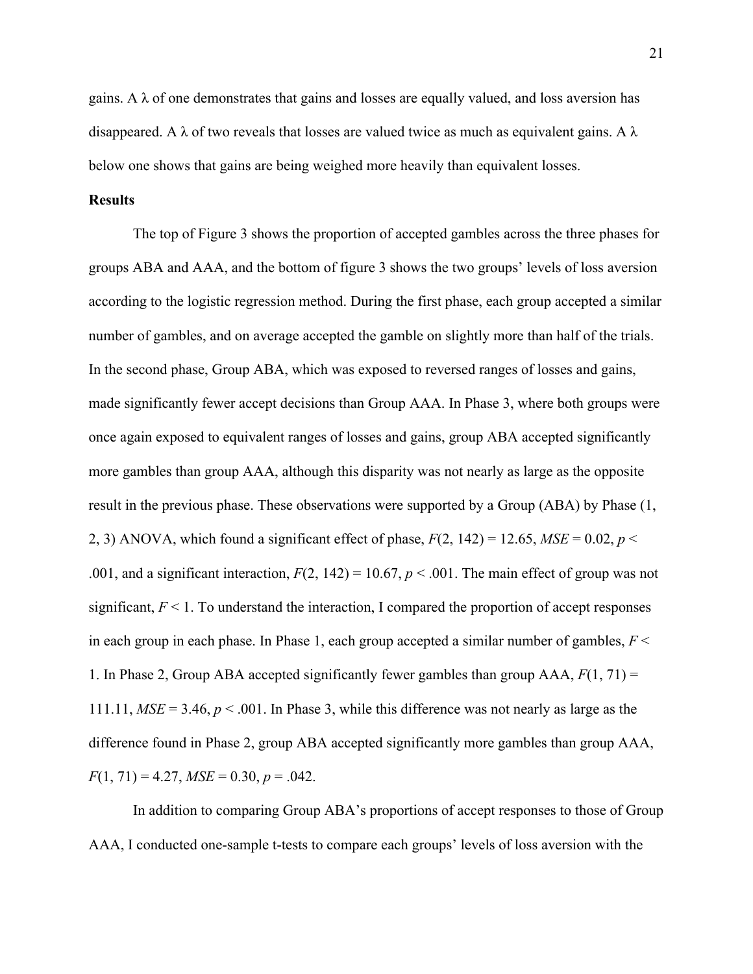gains. A  $\lambda$  of one demonstrates that gains and losses are equally valued, and loss aversion has disappeared. A  $\lambda$  of two reveals that losses are valued twice as much as equivalent gains. A  $\lambda$ below one shows that gains are being weighed more heavily than equivalent losses.

# **Results**

The top of Figure 3 shows the proportion of accepted gambles across the three phases for groups ABA and AAA, and the bottom of figure 3 shows the two groups' levels of loss aversion according to the logistic regression method. During the first phase, each group accepted a similar number of gambles, and on average accepted the gamble on slightly more than half of the trials. In the second phase, Group ABA, which was exposed to reversed ranges of losses and gains, made significantly fewer accept decisions than Group AAA. In Phase 3, where both groups were once again exposed to equivalent ranges of losses and gains, group ABA accepted significantly more gambles than group AAA, although this disparity was not nearly as large as the opposite result in the previous phase. These observations were supported by a Group (ABA) by Phase (1, 2, 3) ANOVA, which found a significant effect of phase,  $F(2, 142) = 12.65$ ,  $MSE = 0.02$ ,  $p <$ .001, and a significant interaction,  $F(2, 142) = 10.67$ ,  $p < .001$ . The main effect of group was not significant,  $F < 1$ . To understand the interaction, I compared the proportion of accept responses in each group in each phase. In Phase 1, each group accepted a similar number of gambles, *F* < 1. In Phase 2, Group ABA accepted significantly fewer gambles than group AAA, *F*(1, 71) = 111.11, *MSE* = 3.46, *p* < .001. In Phase 3, while this difference was not nearly as large as the difference found in Phase 2, group ABA accepted significantly more gambles than group AAA,  $F(1, 71) = 4.27$ ,  $MSE = 0.30$ ,  $p = .042$ .

In addition to comparing Group ABA's proportions of accept responses to those of Group AAA, I conducted one-sample t-tests to compare each groups' levels of loss aversion with the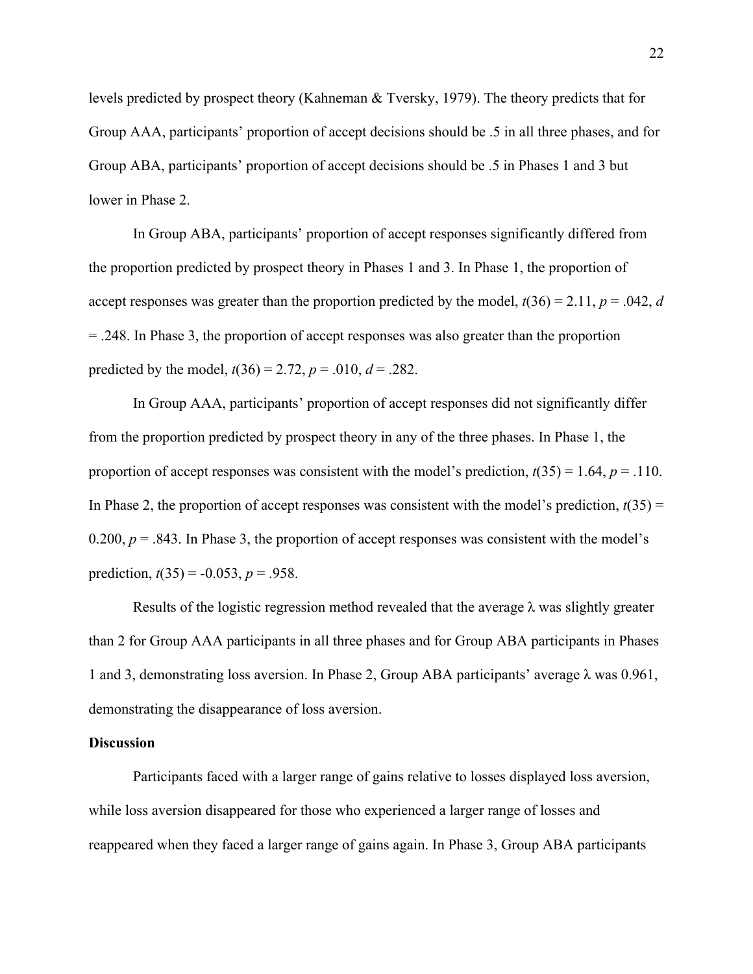levels predicted by prospect theory (Kahneman & Tversky, 1979). The theory predicts that for Group AAA, participants' proportion of accept decisions should be .5 in all three phases, and for Group ABA, participants' proportion of accept decisions should be .5 in Phases 1 and 3 but lower in Phase 2.

In Group ABA, participants' proportion of accept responses significantly differed from the proportion predicted by prospect theory in Phases 1 and 3. In Phase 1, the proportion of accept responses was greater than the proportion predicted by the model,  $t(36) = 2.11$ ,  $p = .042$ , *d* = .248. In Phase 3, the proportion of accept responses was also greater than the proportion predicted by the model,  $t(36) = 2.72$ ,  $p = .010$ ,  $d = .282$ .

In Group AAA, participants' proportion of accept responses did not significantly differ from the proportion predicted by prospect theory in any of the three phases. In Phase 1, the proportion of accept responses was consistent with the model's prediction,  $t(35) = 1.64$ ,  $p = .110$ . In Phase 2, the proportion of accept responses was consistent with the model's prediction,  $t(35)$  = 0.200,  $p = 0.843$ . In Phase 3, the proportion of accept responses was consistent with the model's prediction,  $t(35) = -0.053$ ,  $p = .958$ .

Results of the logistic regression method revealed that the average  $\lambda$  was slightly greater than 2 for Group AAA participants in all three phases and for Group ABA participants in Phases 1 and 3, demonstrating loss aversion. In Phase 2, Group ABA participants' average  $\lambda$  was 0.961, demonstrating the disappearance of loss aversion.

#### **Discussion**

Participants faced with a larger range of gains relative to losses displayed loss aversion, while loss aversion disappeared for those who experienced a larger range of losses and reappeared when they faced a larger range of gains again. In Phase 3, Group ABA participants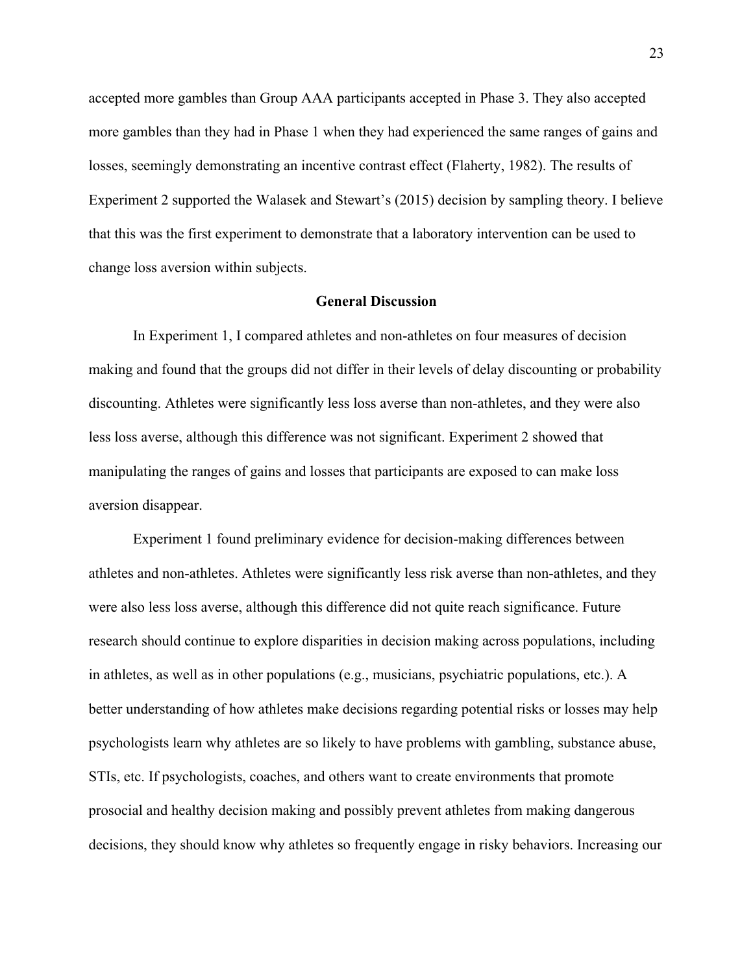accepted more gambles than Group AAA participants accepted in Phase 3. They also accepted more gambles than they had in Phase 1 when they had experienced the same ranges of gains and losses, seemingly demonstrating an incentive contrast effect (Flaherty, 1982). The results of Experiment 2 supported the Walasek and Stewart's (2015) decision by sampling theory. I believe that this was the first experiment to demonstrate that a laboratory intervention can be used to change loss aversion within subjects.

#### **General Discussion**

In Experiment 1, I compared athletes and non-athletes on four measures of decision making and found that the groups did not differ in their levels of delay discounting or probability discounting. Athletes were significantly less loss averse than non-athletes, and they were also less loss averse, although this difference was not significant. Experiment 2 showed that manipulating the ranges of gains and losses that participants are exposed to can make loss aversion disappear.

Experiment 1 found preliminary evidence for decision-making differences between athletes and non-athletes. Athletes were significantly less risk averse than non-athletes, and they were also less loss averse, although this difference did not quite reach significance. Future research should continue to explore disparities in decision making across populations, including in athletes, as well as in other populations (e.g., musicians, psychiatric populations, etc.). A better understanding of how athletes make decisions regarding potential risks or losses may help psychologists learn why athletes are so likely to have problems with gambling, substance abuse, STIs, etc. If psychologists, coaches, and others want to create environments that promote prosocial and healthy decision making and possibly prevent athletes from making dangerous decisions, they should know why athletes so frequently engage in risky behaviors. Increasing our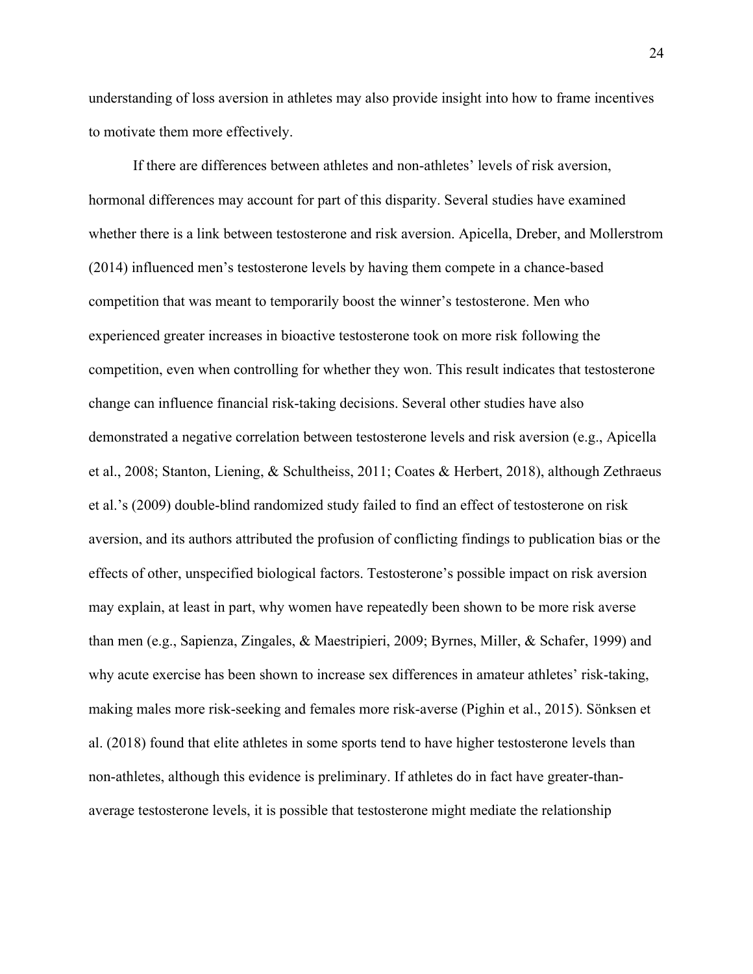understanding of loss aversion in athletes may also provide insight into how to frame incentives to motivate them more effectively.

If there are differences between athletes and non-athletes' levels of risk aversion, hormonal differences may account for part of this disparity. Several studies have examined whether there is a link between testosterone and risk aversion. Apicella, Dreber, and Mollerstrom (2014) influenced men's testosterone levels by having them compete in a chance-based competition that was meant to temporarily boost the winner's testosterone. Men who experienced greater increases in bioactive testosterone took on more risk following the competition, even when controlling for whether they won. This result indicates that testosterone change can influence financial risk-taking decisions. Several other studies have also demonstrated a negative correlation between testosterone levels and risk aversion (e.g., Apicella et al., 2008; Stanton, Liening, & Schultheiss, 2011; Coates & Herbert, 2018), although Zethraeus et al.'s (2009) double-blind randomized study failed to find an effect of testosterone on risk aversion, and its authors attributed the profusion of conflicting findings to publication bias or the effects of other, unspecified biological factors. Testosterone's possible impact on risk aversion may explain, at least in part, why women have repeatedly been shown to be more risk averse than men (e.g., Sapienza, Zingales, & Maestripieri, 2009; Byrnes, Miller, & Schafer, 1999) and why acute exercise has been shown to increase sex differences in amateur athletes' risk-taking, making males more risk-seeking and females more risk-averse (Pighin et al., 2015). Sönksen et al. (2018) found that elite athletes in some sports tend to have higher testosterone levels than non-athletes, although this evidence is preliminary. If athletes do in fact have greater-thanaverage testosterone levels, it is possible that testosterone might mediate the relationship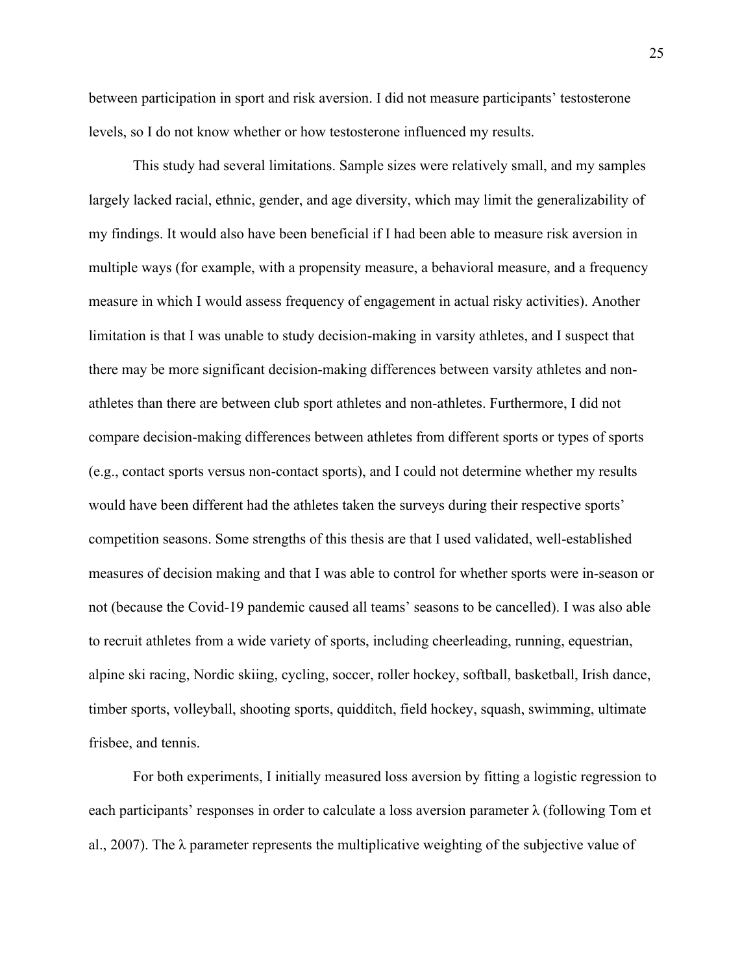between participation in sport and risk aversion. I did not measure participants' testosterone levels, so I do not know whether or how testosterone influenced my results.

This study had several limitations. Sample sizes were relatively small, and my samples largely lacked racial, ethnic, gender, and age diversity, which may limit the generalizability of my findings. It would also have been beneficial if I had been able to measure risk aversion in multiple ways (for example, with a propensity measure, a behavioral measure, and a frequency measure in which I would assess frequency of engagement in actual risky activities). Another limitation is that I was unable to study decision-making in varsity athletes, and I suspect that there may be more significant decision-making differences between varsity athletes and nonathletes than there are between club sport athletes and non-athletes. Furthermore, I did not compare decision-making differences between athletes from different sports or types of sports (e.g., contact sports versus non-contact sports), and I could not determine whether my results would have been different had the athletes taken the surveys during their respective sports' competition seasons. Some strengths of this thesis are that I used validated, well-established measures of decision making and that I was able to control for whether sports were in-season or not (because the Covid-19 pandemic caused all teams' seasons to be cancelled). I was also able to recruit athletes from a wide variety of sports, including cheerleading, running, equestrian, alpine ski racing, Nordic skiing, cycling, soccer, roller hockey, softball, basketball, Irish dance, timber sports, volleyball, shooting sports, quidditch, field hockey, squash, swimming, ultimate frisbee, and tennis.

For both experiments, I initially measured loss aversion by fitting a logistic regression to each participants' responses in order to calculate a loss aversion parameter λ (following Tom et al., 2007). The λ parameter represents the multiplicative weighting of the subjective value of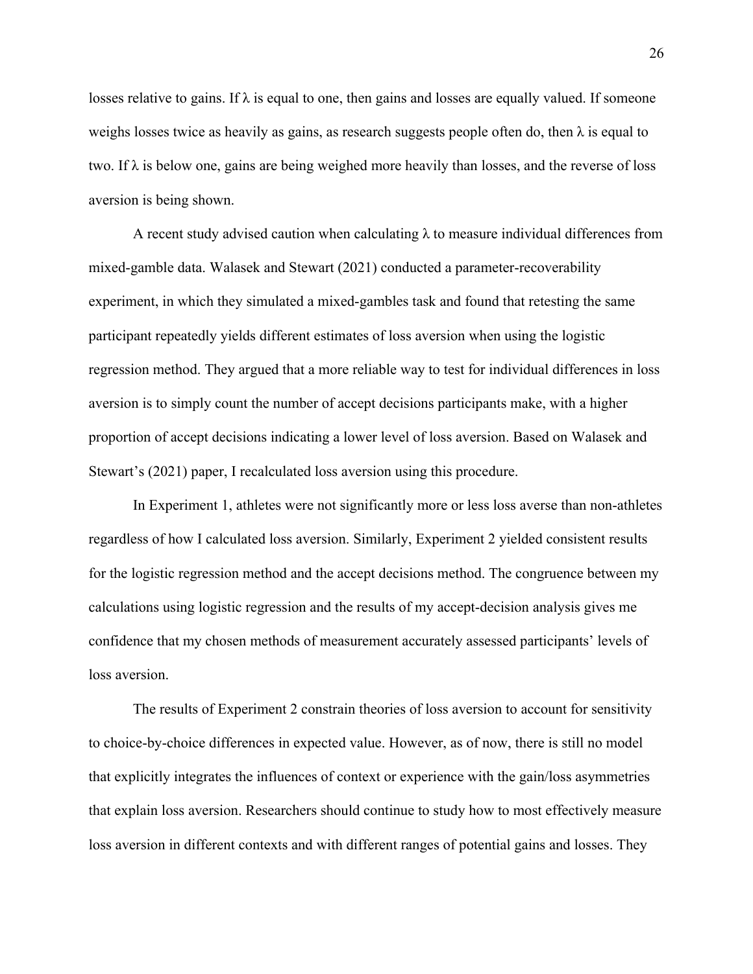losses relative to gains. If  $\lambda$  is equal to one, then gains and losses are equally valued. If someone weighs losses twice as heavily as gains, as research suggests people often do, then  $\lambda$  is equal to two. If  $\lambda$  is below one, gains are being weighed more heavily than losses, and the reverse of loss aversion is being shown.

A recent study advised caution when calculating  $\lambda$  to measure individual differences from mixed-gamble data. Walasek and Stewart (2021) conducted a parameter-recoverability experiment, in which they simulated a mixed-gambles task and found that retesting the same participant repeatedly yields different estimates of loss aversion when using the logistic regression method. They argued that a more reliable way to test for individual differences in loss aversion is to simply count the number of accept decisions participants make, with a higher proportion of accept decisions indicating a lower level of loss aversion. Based on Walasek and Stewart's (2021) paper, I recalculated loss aversion using this procedure.

In Experiment 1, athletes were not significantly more or less loss averse than non-athletes regardless of how I calculated loss aversion. Similarly, Experiment 2 yielded consistent results for the logistic regression method and the accept decisions method. The congruence between my calculations using logistic regression and the results of my accept-decision analysis gives me confidence that my chosen methods of measurement accurately assessed participants' levels of loss aversion.

The results of Experiment 2 constrain theories of loss aversion to account for sensitivity to choice-by-choice differences in expected value. However, as of now, there is still no model that explicitly integrates the influences of context or experience with the gain/loss asymmetries that explain loss aversion. Researchers should continue to study how to most effectively measure loss aversion in different contexts and with different ranges of potential gains and losses. They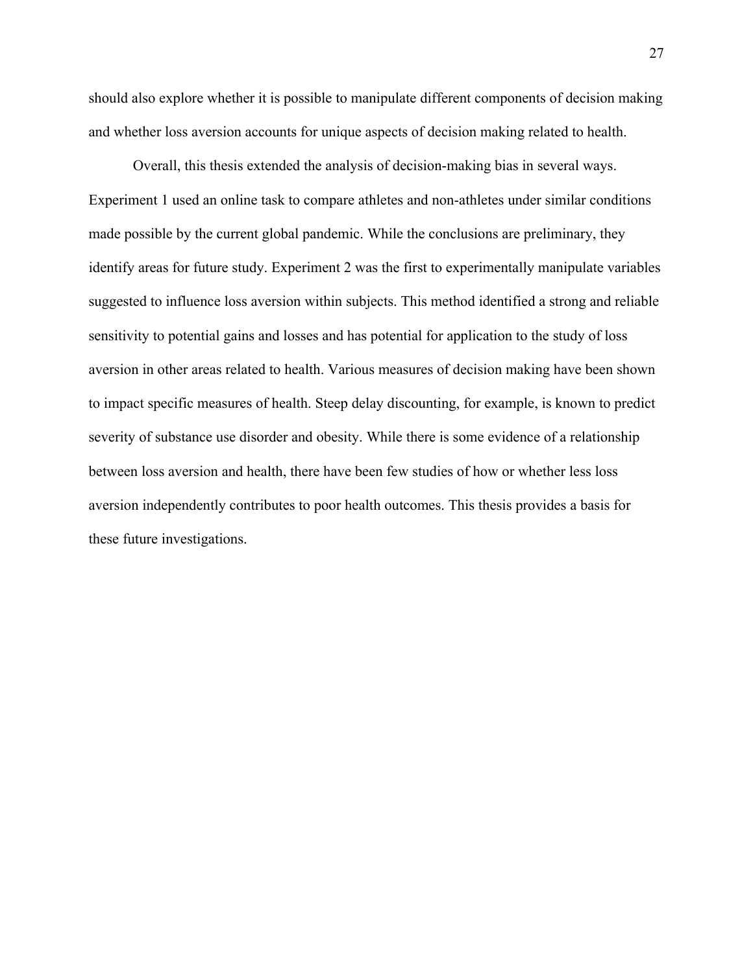should also explore whether it is possible to manipulate different components of decision making and whether loss aversion accounts for unique aspects of decision making related to health.

Overall, this thesis extended the analysis of decision-making bias in several ways. Experiment 1 used an online task to compare athletes and non-athletes under similar conditions made possible by the current global pandemic. While the conclusions are preliminary, they identify areas for future study. Experiment 2 was the first to experimentally manipulate variables suggested to influence loss aversion within subjects. This method identified a strong and reliable sensitivity to potential gains and losses and has potential for application to the study of loss aversion in other areas related to health. Various measures of decision making have been shown to impact specific measures of health. Steep delay discounting, for example, is known to predict severity of substance use disorder and obesity. While there is some evidence of a relationship between loss aversion and health, there have been few studies of how or whether less loss aversion independently contributes to poor health outcomes. This thesis provides a basis for these future investigations.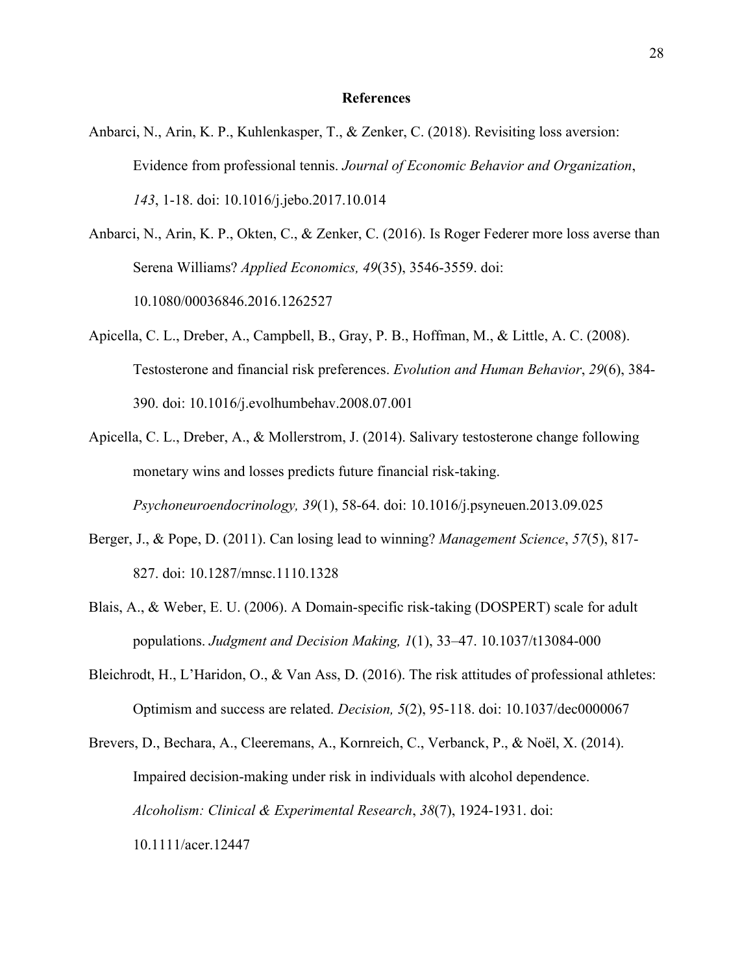#### **References**

- Anbarci, N., Arin, K. P., Kuhlenkasper, T., & Zenker, C. (2018). Revisiting loss aversion: Evidence from professional tennis. *Journal of Economic Behavior and Organization*, *143*, 1-18. doi: 10.1016/j.jebo.2017.10.014
- Anbarci, N., Arin, K. P., Okten, C., & Zenker, C. (2016). Is Roger Federer more loss averse than Serena Williams? *Applied Economics, 49*(35), 3546-3559. doi: 10.1080/00036846.2016.1262527
- Apicella, C. L., Dreber, A., Campbell, B., Gray, P. B., Hoffman, M., & Little, A. C. (2008). Testosterone and financial risk preferences. *Evolution and Human Behavior*, *29*(6), 384- 390. doi: 10.1016/j.evolhumbehav.2008.07.001
- Apicella, C. L., Dreber, A., & Mollerstrom, J. (2014). Salivary testosterone change following monetary wins and losses predicts future financial risk-taking. *Psychoneuroendocrinology, 39*(1), 58-64. doi: 10.1016/j.psyneuen.2013.09.025
- Berger, J., & Pope, D. (2011). Can losing lead to winning? *Management Science*, *57*(5), 817- 827. doi: 10.1287/mnsc.1110.1328
- Blais, A., & Weber, E. U. (2006). A Domain-specific risk-taking (DOSPERT) scale for adult populations. *Judgment and Decision Making, 1*(1), 33–47. 10.1037/t13084-000
- Bleichrodt, H., L'Haridon, O., & Van Ass, D. (2016). The risk attitudes of professional athletes: Optimism and success are related. *Decision, 5*(2), 95-118. doi: 10.1037/dec0000067

Brevers, D., Bechara, A., Cleeremans, A., Kornreich, C., Verbanck, P., & Noël, X. (2014). Impaired decision-making under risk in individuals with alcohol dependence. *Alcoholism: Clinical & Experimental Research*, *38*(7), 1924-1931. doi: 10.1111/acer.12447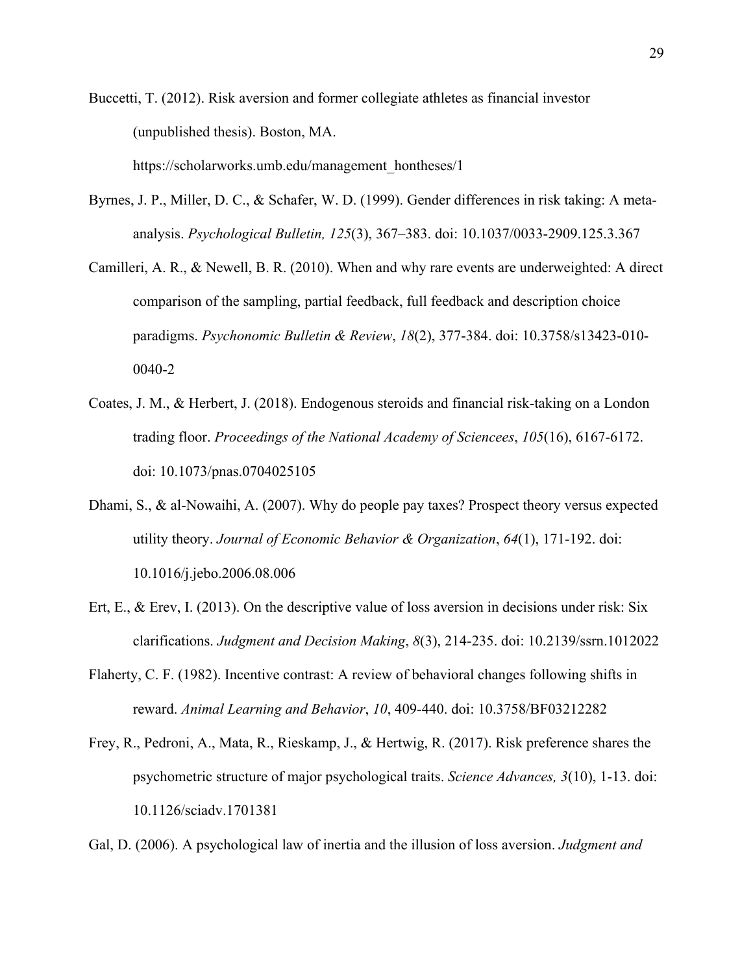Buccetti, T. (2012). Risk aversion and former collegiate athletes as financial investor (unpublished thesis). Boston, MA. https://scholarworks.umb.edu/management\_hontheses/1

- Byrnes, J. P., Miller, D. C., & Schafer, W. D. (1999). Gender differences in risk taking: A metaanalysis. *Psychological Bulletin, 125*(3), 367–383. doi: 10.1037/0033-2909.125.3.367
- Camilleri, A. R., & Newell, B. R. (2010). When and why rare events are underweighted: A direct comparison of the sampling, partial feedback, full feedback and description choice paradigms. *Psychonomic Bulletin & Review*, *18*(2), 377-384. doi: 10.3758/s13423-010- 0040-2
- Coates, J. M., & Herbert, J. (2018). Endogenous steroids and financial risk-taking on a London trading floor. *Proceedings of the National Academy of Sciencees*, *105*(16), 6167-6172. doi: 10.1073/pnas.0704025105
- Dhami, S., & al-Nowaihi, A. (2007). Why do people pay taxes? Prospect theory versus expected utility theory. *Journal of Economic Behavior & Organization*, *64*(1), 171-192. doi: 10.1016/j.jebo.2006.08.006
- Ert, E., & Erev, I. (2013). On the descriptive value of loss aversion in decisions under risk: Six clarifications. *Judgment and Decision Making*, *8*(3), 214-235. doi: 10.2139/ssrn.1012022
- Flaherty, C. F. (1982). Incentive contrast: A review of behavioral changes following shifts in reward. *Animal Learning and Behavior*, *10*, 409-440. doi: 10.3758/BF03212282
- Frey, R., Pedroni, A., Mata, R., Rieskamp, J., & Hertwig, R. (2017). Risk preference shares the psychometric structure of major psychological traits. *Science Advances, 3*(10), 1-13. doi: 10.1126/sciadv.1701381

Gal, D. (2006). A psychological law of inertia and the illusion of loss aversion. *Judgment and*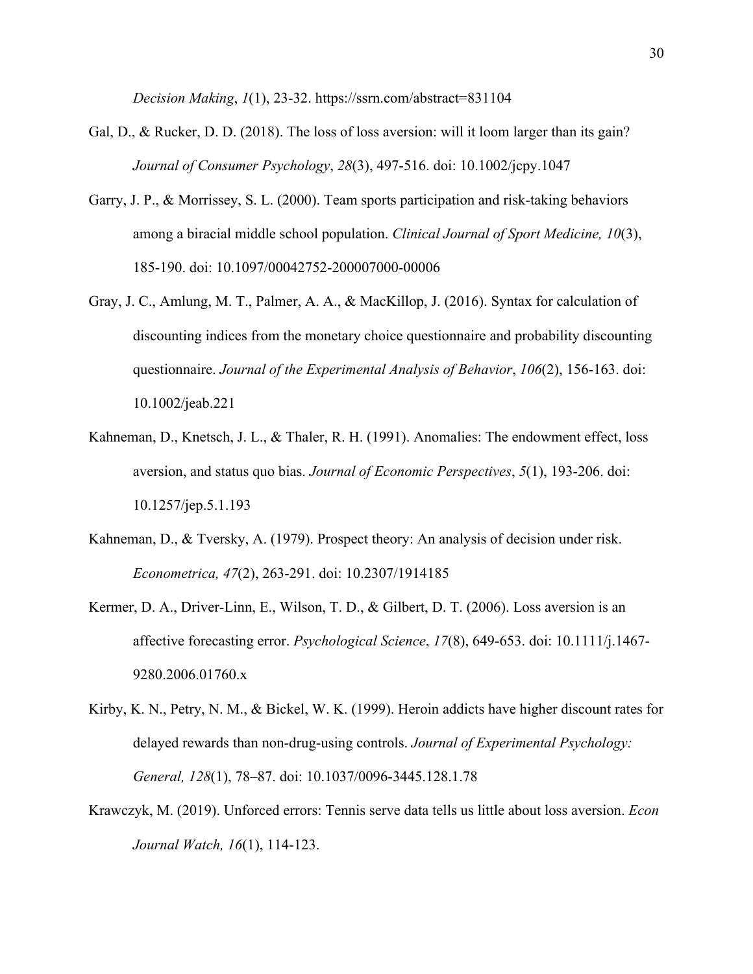*Decision Making*, *1*(1), 23-32. https://ssrn.com/abstract=831104

- Gal, D., & Rucker, D. D. (2018). The loss of loss aversion: will it loom larger than its gain? *Journal of Consumer Psychology*, *28*(3), 497-516. doi: 10.1002/jcpy.1047
- Garry, J. P., & Morrissey, S. L. (2000). Team sports participation and risk-taking behaviors among a biracial middle school population. *Clinical Journal of Sport Medicine, 10*(3), 185-190. doi: 10.1097/00042752-200007000-00006
- Gray, J. C., Amlung, M. T., Palmer, A. A., & MacKillop, J. (2016). Syntax for calculation of discounting indices from the monetary choice questionnaire and probability discounting questionnaire. *Journal of the Experimental Analysis of Behavior*, *106*(2), 156-163. doi: 10.1002/jeab.221
- Kahneman, D., Knetsch, J. L., & Thaler, R. H. (1991). Anomalies: The endowment effect, loss aversion, and status quo bias. *Journal of Economic Perspectives*, *5*(1), 193-206. doi: 10.1257/jep.5.1.193
- Kahneman, D., & Tversky, A. (1979). Prospect theory: An analysis of decision under risk. *Econometrica, 47*(2), 263-291. doi: 10.2307/1914185
- Kermer, D. A., Driver-Linn, E., Wilson, T. D., & Gilbert, D. T. (2006). Loss aversion is an affective forecasting error. *Psychological Science*, *17*(8), 649-653. doi: 10.1111/j.1467- 9280.2006.01760.x
- Kirby, K. N., Petry, N. M., & Bickel, W. K. (1999). Heroin addicts have higher discount rates for delayed rewards than non-drug-using controls. *Journal of Experimental Psychology: General, 128*(1), 78–87. doi: 10.1037/0096-3445.128.1.78
- Krawczyk, M. (2019). Unforced errors: Tennis serve data tells us little about loss aversion. *Econ Journal Watch, 16*(1), 114-123.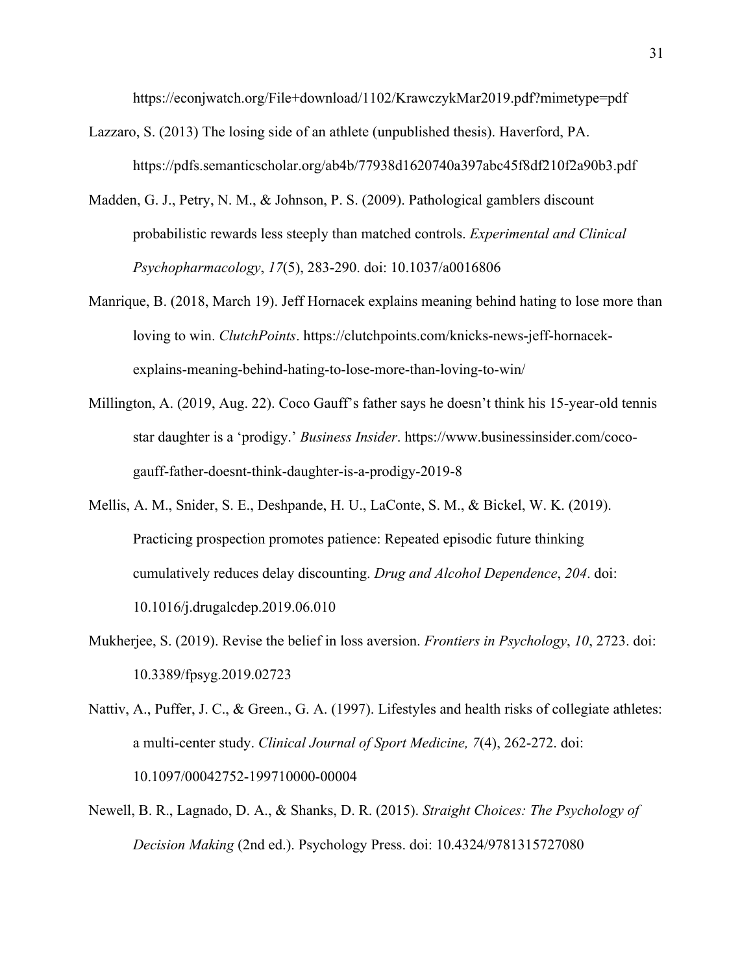https://econjwatch.org/File+download/1102/KrawczykMar2019.pdf?mimetype=pdf

- Lazzaro, S. (2013) The losing side of an athlete (unpublished thesis). Haverford, PA. https://pdfs.semanticscholar.org/ab4b/77938d1620740a397abc45f8df210f2a90b3.pdf
- Madden, G. J., Petry, N. M., & Johnson, P. S. (2009). Pathological gamblers discount probabilistic rewards less steeply than matched controls. *Experimental and Clinical Psychopharmacology*, *17*(5), 283-290. doi: 10.1037/a0016806
- Manrique, B. (2018, March 19). Jeff Hornacek explains meaning behind hating to lose more than loving to win. *ClutchPoints*. https://clutchpoints.com/knicks-news-jeff-hornacekexplains-meaning-behind-hating-to-lose-more-than-loving-to-win/
- Millington, A. (2019, Aug. 22). Coco Gauff's father says he doesn't think his 15-year-old tennis star daughter is a 'prodigy.' *Business Insider*. https://www.businessinsider.com/cocogauff-father-doesnt-think-daughter-is-a-prodigy-2019-8
- Mellis, A. M., Snider, S. E., Deshpande, H. U., LaConte, S. M., & Bickel, W. K. (2019). Practicing prospection promotes patience: Repeated episodic future thinking cumulatively reduces delay discounting. *Drug and Alcohol Dependence*, *204*. doi: 10.1016/j.drugalcdep.2019.06.010
- Mukherjee, S. (2019). Revise the belief in loss aversion. *Frontiers in Psychology*, *10*, 2723. doi: 10.3389/fpsyg.2019.02723
- Nattiv, A., Puffer, J. C., & Green., G. A. (1997). Lifestyles and health risks of collegiate athletes: a multi-center study. *Clinical Journal of Sport Medicine, 7*(4), 262-272. doi: 10.1097/00042752-199710000-00004
- Newell, B. R., Lagnado, D. A., & Shanks, D. R. (2015). *Straight Choices: The Psychology of Decision Making* (2nd ed.). Psychology Press. doi: 10.4324/9781315727080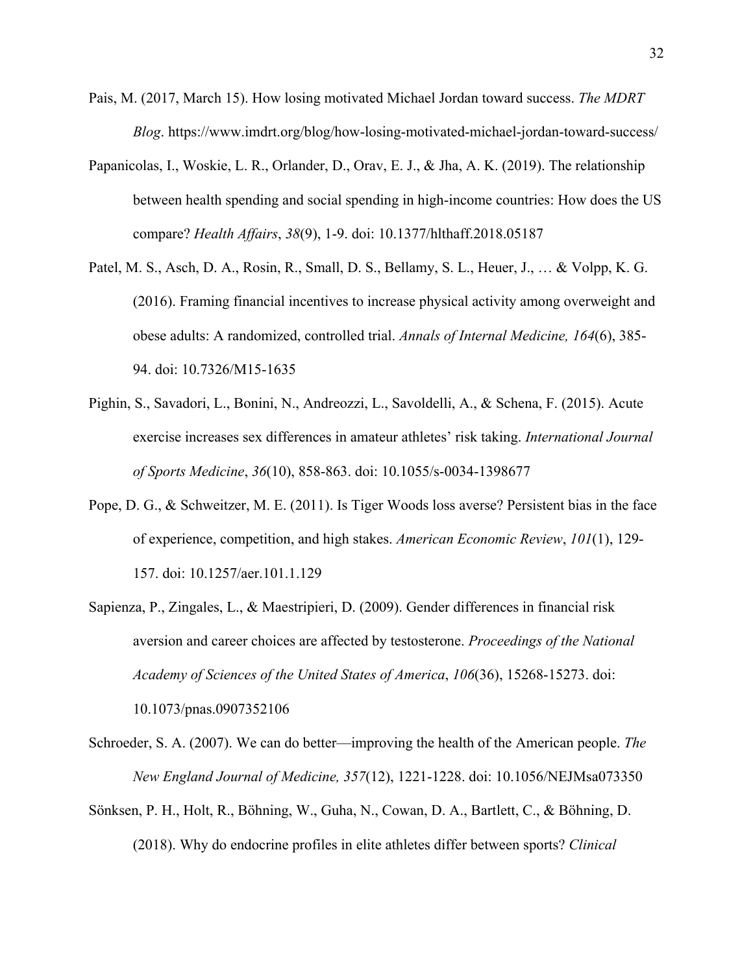- Pais, M. (2017, March 15). How losing motivated Michael Jordan toward success. *The MDRT Blog*. https://www.imdrt.org/blog/how-losing-motivated-michael-jordan-toward-success/
- Papanicolas, I., Woskie, L. R., Orlander, D., Orav, E. J., & Jha, A. K. (2019). The relationship between health spending and social spending in high-income countries: How does the US compare? *Health Affairs*, *38*(9), 1-9. doi: 10.1377/hlthaff.2018.05187
- Patel, M. S., Asch, D. A., Rosin, R., Small, D. S., Bellamy, S. L., Heuer, J., … & Volpp, K. G. (2016). Framing financial incentives to increase physical activity among overweight and obese adults: A randomized, controlled trial. *Annals of Internal Medicine, 164*(6), 385- 94. doi: 10.7326/M15-1635
- Pighin, S., Savadori, L., Bonini, N., Andreozzi, L., Savoldelli, A., & Schena, F. (2015). Acute exercise increases sex differences in amateur athletes' risk taking. *International Journal of Sports Medicine*, *36*(10), 858-863. doi: 10.1055/s-0034-1398677
- Pope, D. G., & Schweitzer, M. E. (2011). Is Tiger Woods loss averse? Persistent bias in the face of experience, competition, and high stakes. *American Economic Review*, *101*(1), 129- 157. doi: 10.1257/aer.101.1.129
- Sapienza, P., Zingales, L., & Maestripieri, D. (2009). Gender differences in financial risk aversion and career choices are affected by testosterone. *Proceedings of the National Academy of Sciences of the United States of America*, *106*(36), 15268-15273. doi: 10.1073/pnas.0907352106
- Schroeder, S. A. (2007). We can do better—improving the health of the American people. *The New England Journal of Medicine, 357*(12), 1221-1228. doi: 10.1056/NEJMsa073350
- Sönksen, P. H., Holt, R., Böhning, W., Guha, N., Cowan, D. A., Bartlett, C., & Böhning, D. (2018). Why do endocrine profiles in elite athletes differ between sports? *Clinical*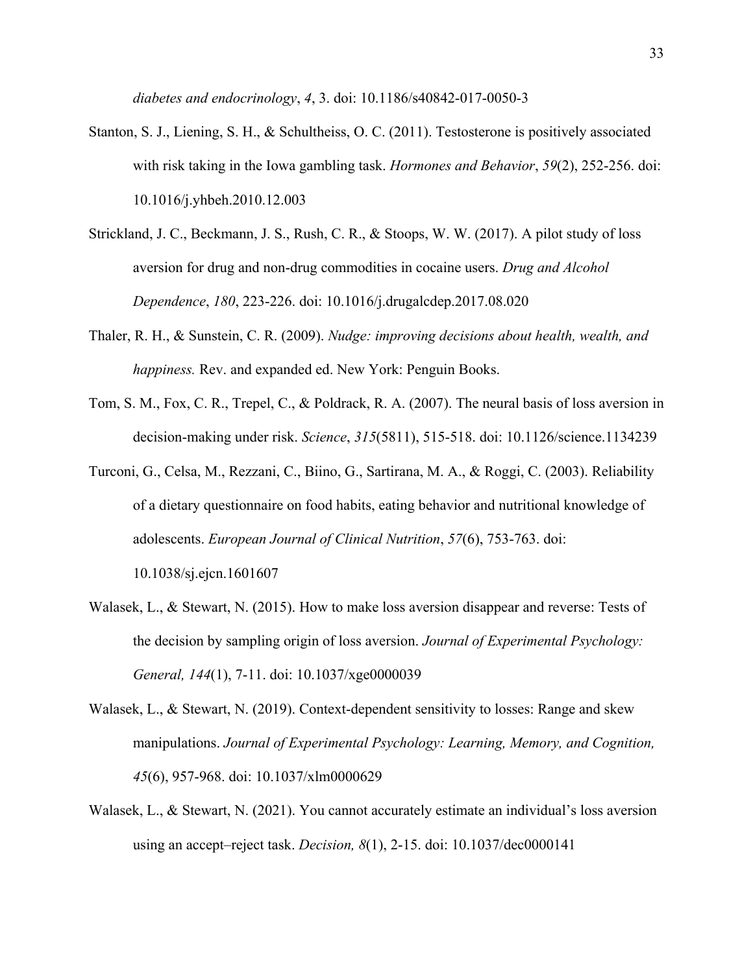*diabetes and endocrinology*, *4*, 3. doi: 10.1186/s40842-017-0050-3

- Stanton, S. J., Liening, S. H., & Schultheiss, O. C. (2011). Testosterone is positively associated with risk taking in the Iowa gambling task. *Hormones and Behavior*, *59*(2), 252-256. doi: 10.1016/j.yhbeh.2010.12.003
- Strickland, J. C., Beckmann, J. S., Rush, C. R., & Stoops, W. W. (2017). A pilot study of loss aversion for drug and non-drug commodities in cocaine users. *Drug and Alcohol Dependence*, *180*, 223-226. doi: 10.1016/j.drugalcdep.2017.08.020
- Thaler, R. H., & Sunstein, C. R. (2009). *Nudge: improving decisions about health, wealth, and happiness.* Rev. and expanded ed. New York: Penguin Books.
- Tom, S. M., Fox, C. R., Trepel, C., & Poldrack, R. A. (2007). The neural basis of loss aversion in decision-making under risk. *Science*, *315*(5811), 515-518. doi: 10.1126/science.1134239
- Turconi, G., Celsa, M., Rezzani, C., Biino, G., Sartirana, M. A., & Roggi, C. (2003). Reliability of a dietary questionnaire on food habits, eating behavior and nutritional knowledge of adolescents. *European Journal of Clinical Nutrition*, *57*(6), 753-763. doi: 10.1038/sj.ejcn.1601607
- Walasek, L., & Stewart, N. (2015). How to make loss aversion disappear and reverse: Tests of the decision by sampling origin of loss aversion. *Journal of Experimental Psychology: General, 144*(1), 7-11. doi: 10.1037/xge0000039
- Walasek, L., & Stewart, N. (2019). Context-dependent sensitivity to losses: Range and skew manipulations. *Journal of Experimental Psychology: Learning, Memory, and Cognition, 45*(6), 957-968. doi: 10.1037/xlm0000629
- Walasek, L., & Stewart, N. (2021). You cannot accurately estimate an individual's loss aversion using an accept–reject task. *Decision, 8*(1), 2-15. doi: 10.1037/dec0000141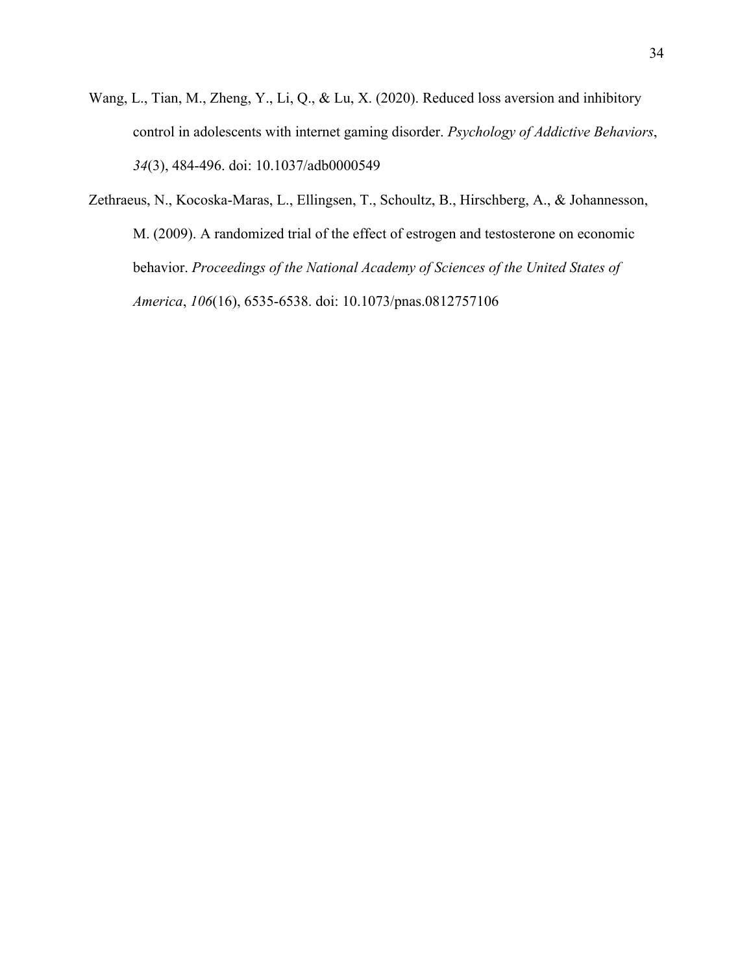- Wang, L., Tian, M., Zheng, Y., Li, Q., & Lu, X. (2020). Reduced loss aversion and inhibitory control in adolescents with internet gaming disorder. *Psychology of Addictive Behaviors*, *34*(3), 484-496. doi: 10.1037/adb0000549
- Zethraeus, N., Kocoska-Maras, L., Ellingsen, T., Schoultz, B., Hirschberg, A., & Johannesson, M. (2009). A randomized trial of the effect of estrogen and testosterone on economic behavior. *Proceedings of the National Academy of Sciences of the United States of America*, *106*(16), 6535-6538. doi: 10.1073/pnas.0812757106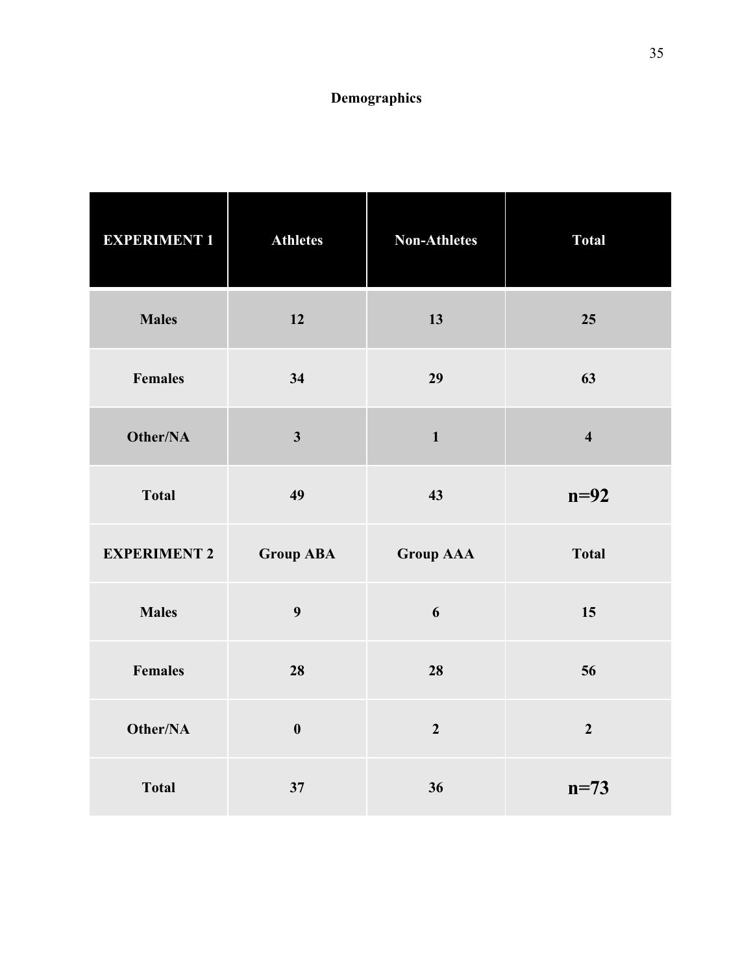# **Demographics**

| <b>EXPERIMENT 1</b> | <b>Athletes</b>         | <b>Non-Athletes</b> | <b>Total</b>            |
|---------------------|-------------------------|---------------------|-------------------------|
| <b>Males</b>        | 12                      | 13                  | 25                      |
| <b>Females</b>      | 34                      | 29                  | 63                      |
| Other/NA            | $\overline{\mathbf{3}}$ | $\mathbf{1}$        | $\overline{\mathbf{4}}$ |
| <b>Total</b>        | 49                      | 43                  | $n=92$                  |
| <b>EXPERIMENT 2</b> | <b>Group ABA</b>        | <b>Group AAA</b>    | <b>Total</b>            |
| <b>Males</b>        | 9                       | 6                   | 15                      |
| <b>Females</b>      | 28                      | 28                  | 56                      |
| Other/NA            | $\boldsymbol{0}$        | $\overline{2}$      | $\overline{2}$          |
| <b>Total</b>        | 37                      | 36                  | $n=73$                  |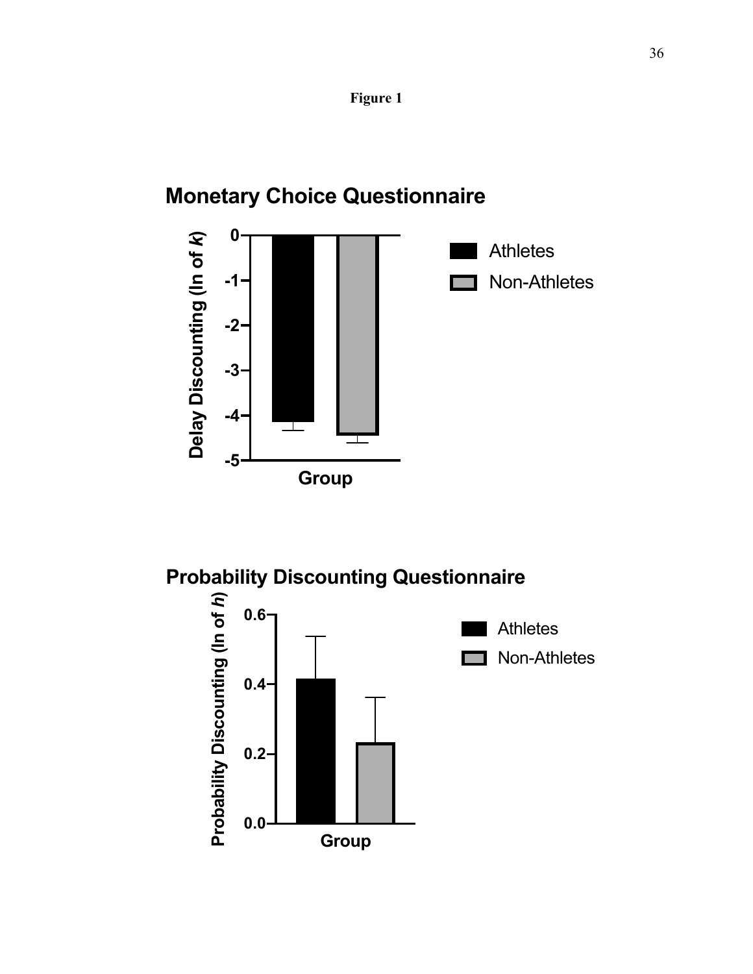

# **Monetary Choice Questionnaire**



# **Probability Discounting Questionnaire**

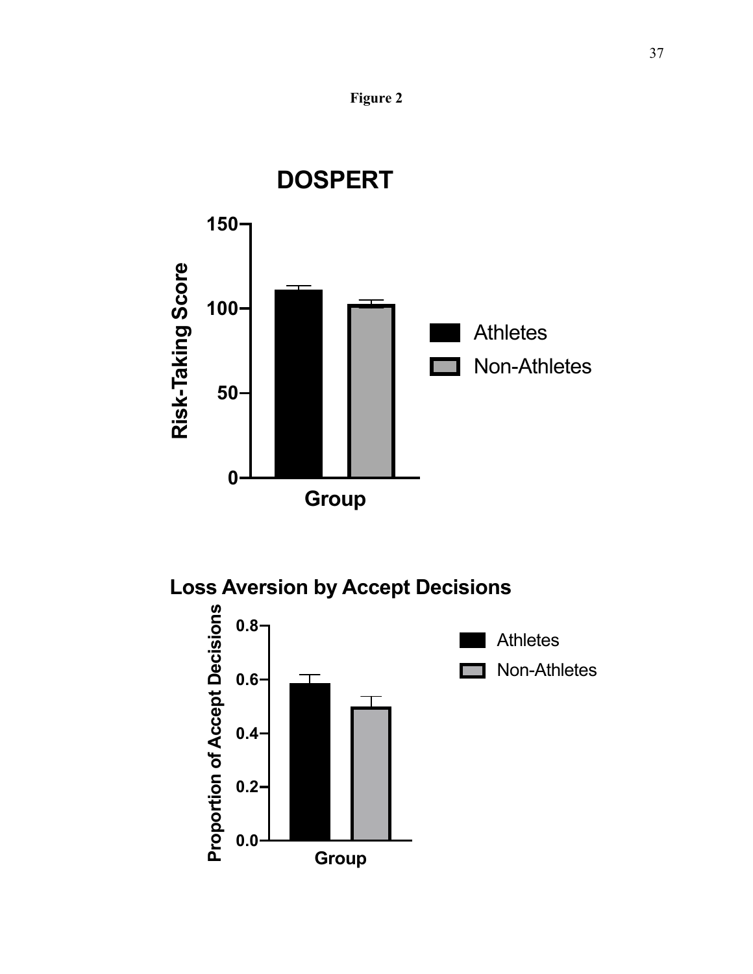





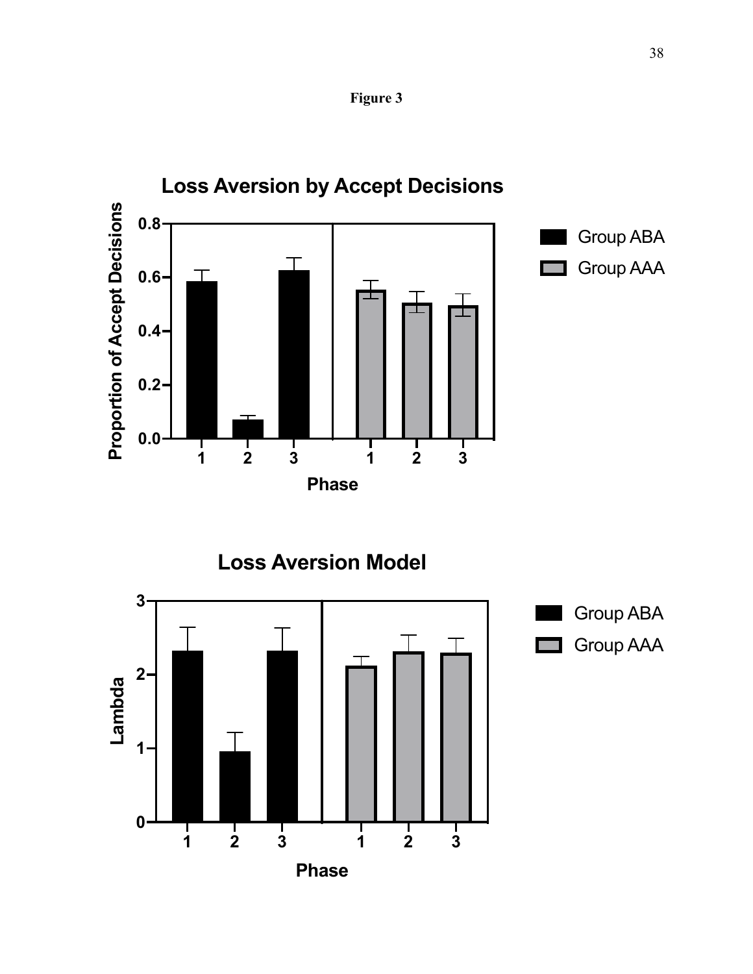



**1 2 3 1 2 3**

**Phase**

**0**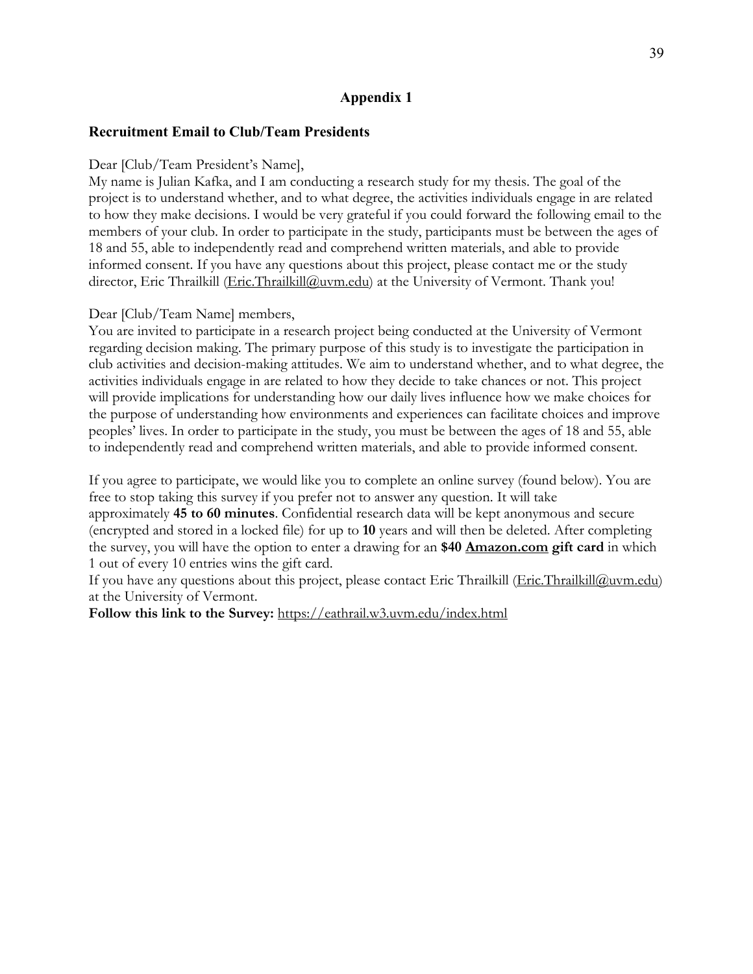# **Appendix 1**

## **Recruitment Email to Club/Team Presidents**

#### Dear [Club/Team President's Name],

My name is Julian Kafka, and I am conducting a research study for my thesis. The goal of the project is to understand whether, and to what degree, the activities individuals engage in are related to how they make decisions. I would be very grateful if you could forward the following email to the members of your club. In order to participate in the study, participants must be between the ages of 18 and 55, able to independently read and comprehend written materials, and able to provide informed consent. If you have any questions about this project, please contact me or the study director, Eric Thrailkill (Eric.Thrailkill@uvm.edu) at the University of Vermont. Thank you!

#### Dear [Club/Team Name] members,

You are invited to participate in a research project being conducted at the University of Vermont regarding decision making. The primary purpose of this study is to investigate the participation in club activities and decision-making attitudes. We aim to understand whether, and to what degree, the activities individuals engage in are related to how they decide to take chances or not. This project will provide implications for understanding how our daily lives influence how we make choices for the purpose of understanding how environments and experiences can facilitate choices and improve peoples' lives. In order to participate in the study, you must be between the ages of 18 and 55, able to independently read and comprehend written materials, and able to provide informed consent.

If you agree to participate, we would like you to complete an online survey (found below). You are free to stop taking this survey if you prefer not to answer any question. It will take approximately **45 to 60 minutes**. Confidential research data will be kept anonymous and secure (encrypted and stored in a locked file) for up to **10** years and will then be deleted. After completing the survey, you will have the option to enter a drawing for an **\$40 Amazon.com gift card** in which 1 out of every 10 entries wins the gift card.

If you have any questions about this project, please contact Eric Thrailkill (Eric.Thrailkill@uvm.edu) at the University of Vermont.

**Follow this link to the Survey:** https://eathrail.w3.uvm.edu/index.html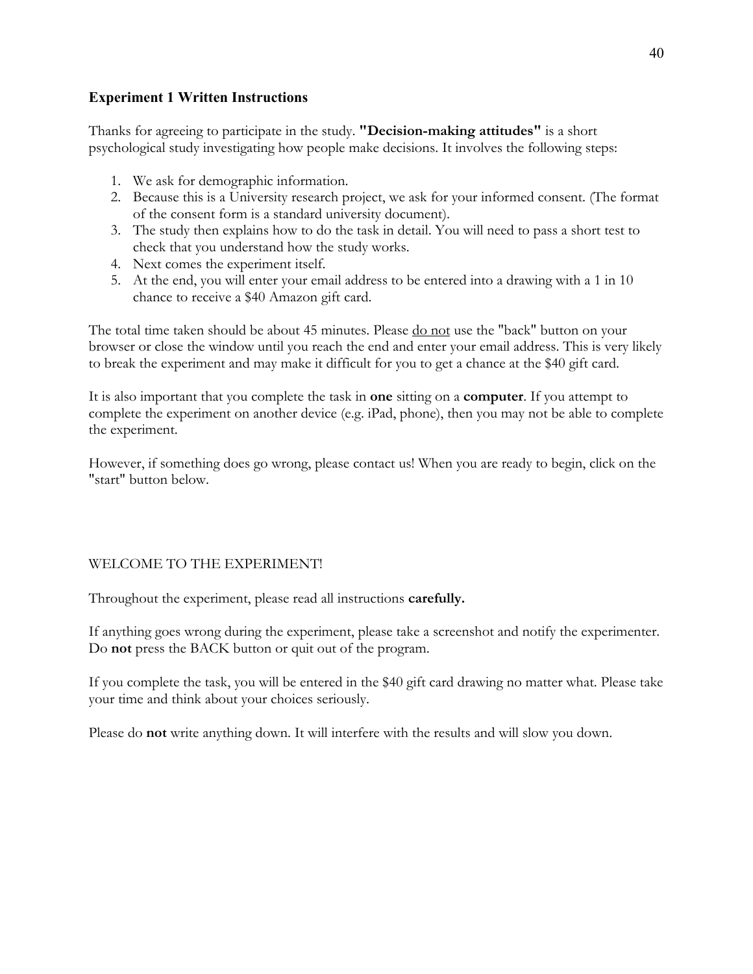# **Experiment 1 Written Instructions**

Thanks for agreeing to participate in the study. **"Decision-making attitudes"** is a short psychological study investigating how people make decisions. It involves the following steps:

- 1. We ask for demographic information.
- 2. Because this is a University research project, we ask for your informed consent. (The format of the consent form is a standard university document).
- 3. The study then explains how to do the task in detail. You will need to pass a short test to check that you understand how the study works.
- 4. Next comes the experiment itself.
- 5. At the end, you will enter your email address to be entered into a drawing with a 1 in 10 chance to receive a \$40 Amazon gift card.

The total time taken should be about 45 minutes. Please <u>do not</u> use the "back" button on your browser or close the window until you reach the end and enter your email address. This is very likely to break the experiment and may make it difficult for you to get a chance at the \$40 gift card.

It is also important that you complete the task in **one** sitting on a **computer**. If you attempt to complete the experiment on another device (e.g. iPad, phone), then you may not be able to complete the experiment.

However, if something does go wrong, please contact us! When you are ready to begin, click on the "start" button below.

# WELCOME TO THE EXPERIMENT!

Throughout the experiment, please read all instructions **carefully.**

If anything goes wrong during the experiment, please take a screenshot and notify the experimenter. Do **not** press the BACK button or quit out of the program.

If you complete the task, you will be entered in the \$40 gift card drawing no matter what. Please take your time and think about your choices seriously.

Please do **not** write anything down. It will interfere with the results and will slow you down.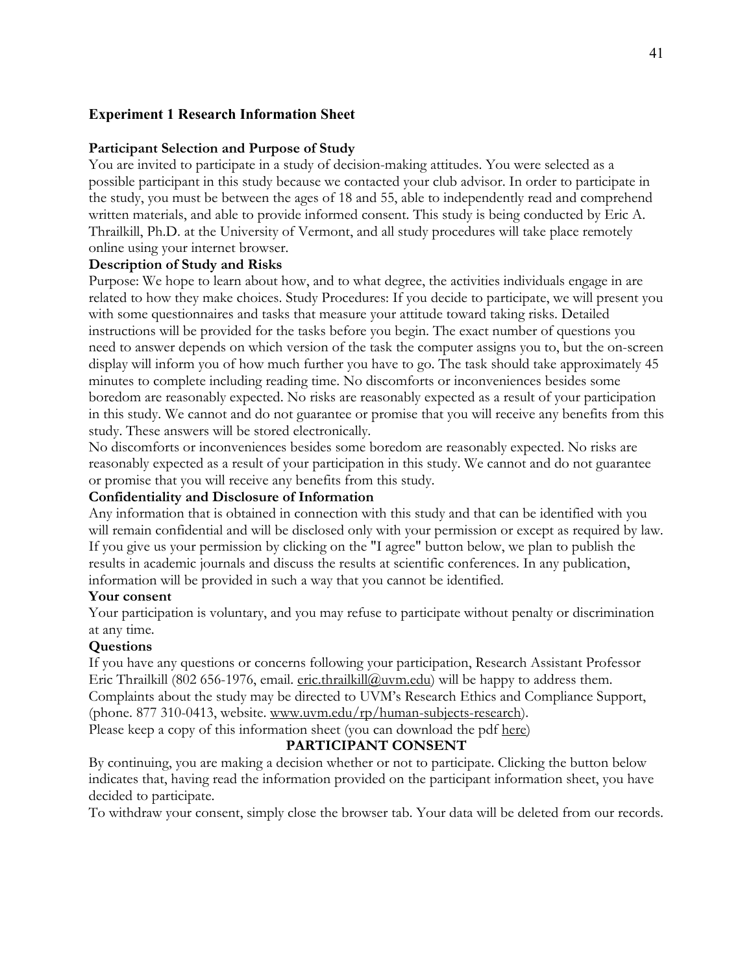# **Experiment 1 Research Information Sheet**

#### **Participant Selection and Purpose of Study**

You are invited to participate in a study of decision-making attitudes. You were selected as a possible participant in this study because we contacted your club advisor. In order to participate in the study, you must be between the ages of 18 and 55, able to independently read and comprehend written materials, and able to provide informed consent. This study is being conducted by Eric A. Thrailkill, Ph.D. at the University of Vermont, and all study procedures will take place remotely online using your internet browser.

#### **Description of Study and Risks**

Purpose: We hope to learn about how, and to what degree, the activities individuals engage in are related to how they make choices. Study Procedures: If you decide to participate, we will present you with some questionnaires and tasks that measure your attitude toward taking risks. Detailed instructions will be provided for the tasks before you begin. The exact number of questions you need to answer depends on which version of the task the computer assigns you to, but the on-screen display will inform you of how much further you have to go. The task should take approximately 45 minutes to complete including reading time. No discomforts or inconveniences besides some boredom are reasonably expected. No risks are reasonably expected as a result of your participation in this study. We cannot and do not guarantee or promise that you will receive any benefits from this study. These answers will be stored electronically.

No discomforts or inconveniences besides some boredom are reasonably expected. No risks are reasonably expected as a result of your participation in this study. We cannot and do not guarantee or promise that you will receive any benefits from this study.

#### **Confidentiality and Disclosure of Information**

Any information that is obtained in connection with this study and that can be identified with you will remain confidential and will be disclosed only with your permission or except as required by law. If you give us your permission by clicking on the "I agree" button below, we plan to publish the results in academic journals and discuss the results at scientific conferences. In any publication, information will be provided in such a way that you cannot be identified.

#### **Your consent**

Your participation is voluntary, and you may refuse to participate without penalty or discrimination at any time.

#### **Questions**

If you have any questions or concerns following your participation, Research Assistant Professor Eric Thrailkill (802 656-1976, email. eric.thrailkill@uvm.edu) will be happy to address them. Complaints about the study may be directed to UVM's Research Ethics and Compliance Support, (phone. 877 310-0413, website. www.uvm.edu/rp/human-subjects-research).

Please keep a copy of this information sheet (you can download the pdf here)

#### **PARTICIPANT CONSENT**

By continuing, you are making a decision whether or not to participate. Clicking the button below indicates that, having read the information provided on the participant information sheet, you have decided to participate.

To withdraw your consent, simply close the browser tab. Your data will be deleted from our records.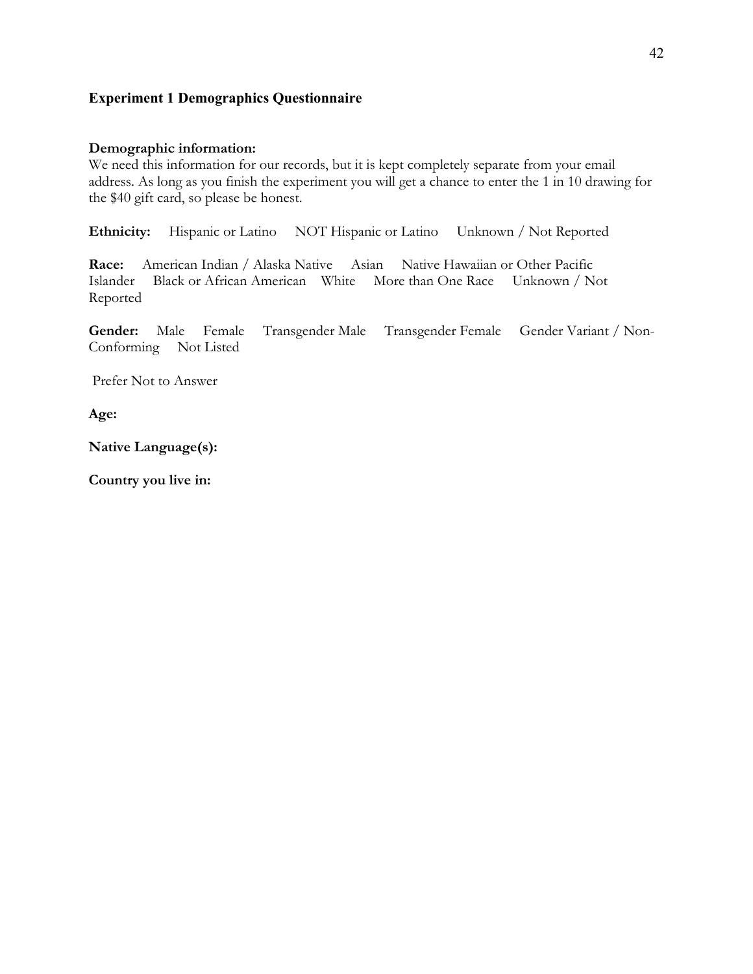# **Experiment 1 Demographics Questionnaire**

## **Demographic information:**

We need this information for our records, but it is kept completely separate from your email address. As long as you finish the experiment you will get a chance to enter the 1 in 10 drawing for the \$40 gift card, so please be honest.

**Ethnicity:** Hispanic or Latino NOT Hispanic or Latino Unknown / Not Reported

**Race:** American Indian / Alaska Native Asian Native Hawaiian or Other Pacific Islander Black or African American White More than One Race Unknown / Not Reported

**Gender:** Male Female Transgender Male Transgender Female Gender Variant / Non-Conforming Not Listed

Prefer Not to Answer

**Age:** 

**Native Language(s):** 

**Country you live in:**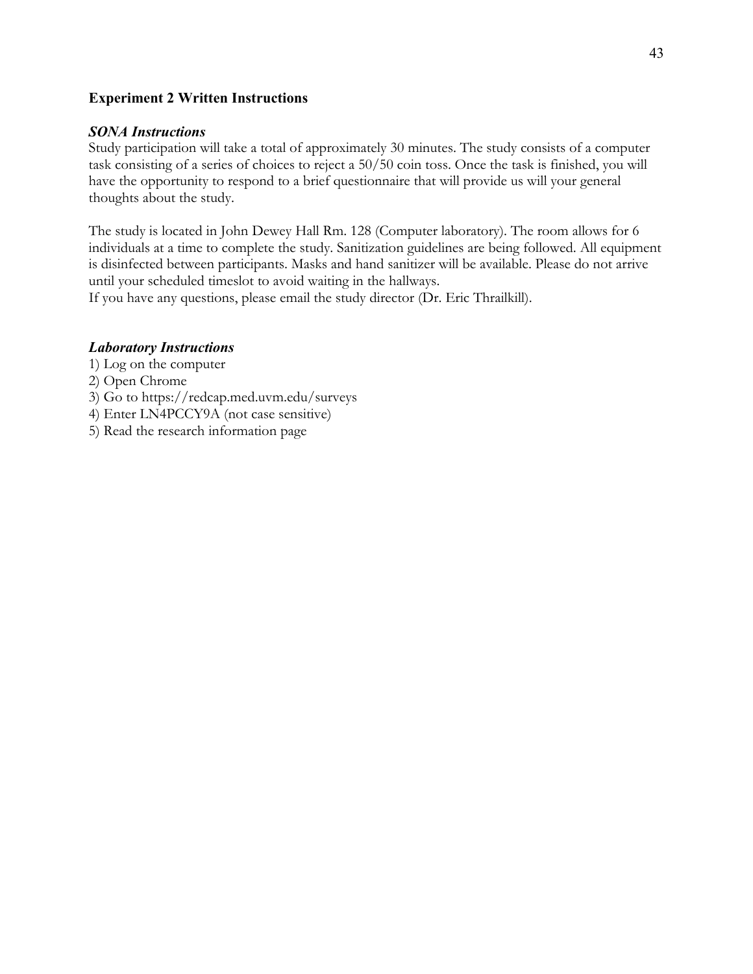# **Experiment 2 Written Instructions**

# *SONA Instructions*

Study participation will take a total of approximately 30 minutes. The study consists of a computer task consisting of a series of choices to reject a 50/50 coin toss. Once the task is finished, you will have the opportunity to respond to a brief questionnaire that will provide us will your general thoughts about the study.

The study is located in John Dewey Hall Rm. 128 (Computer laboratory). The room allows for 6 individuals at a time to complete the study. Sanitization guidelines are being followed. All equipment is disinfected between participants. Masks and hand sanitizer will be available. Please do not arrive until your scheduled timeslot to avoid waiting in the hallways.

If you have any questions, please email the study director (Dr. Eric Thrailkill).

# *Laboratory Instructions*

- 1) Log on the computer
- 2) Open Chrome
- 3) Go to https://redcap.med.uvm.edu/surveys
- 4) Enter LN4PCCY9A (not case sensitive)
- 5) Read the research information page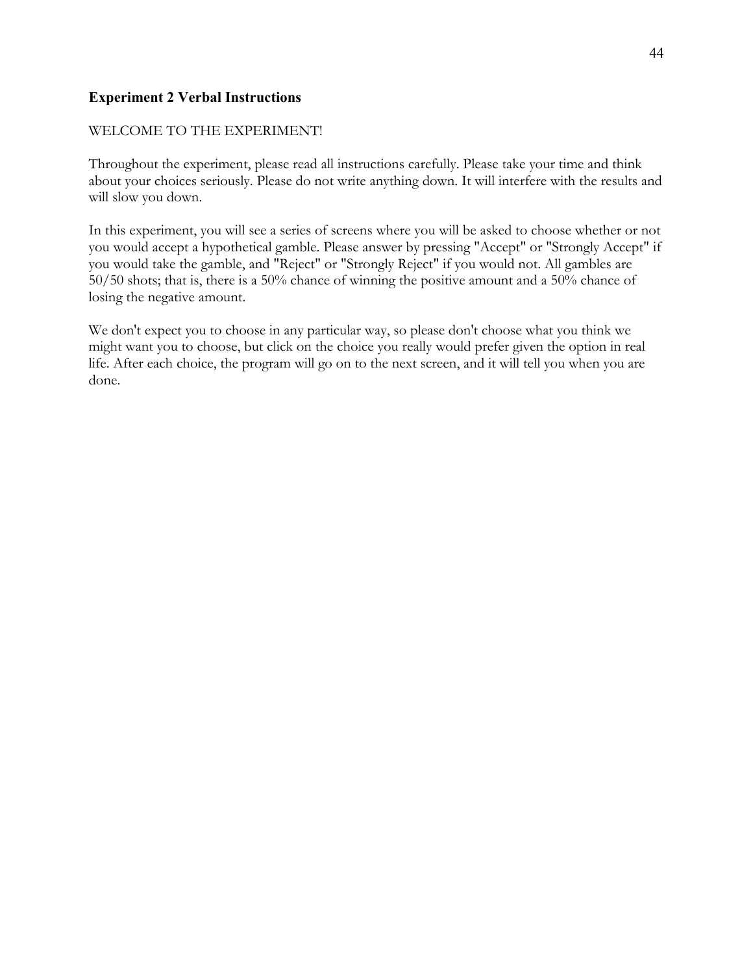# **Experiment 2 Verbal Instructions**

# WELCOME TO THE EXPERIMENT!

Throughout the experiment, please read all instructions carefully. Please take your time and think about your choices seriously. Please do not write anything down. It will interfere with the results and will slow you down.

In this experiment, you will see a series of screens where you will be asked to choose whether or not you would accept a hypothetical gamble. Please answer by pressing "Accept" or "Strongly Accept" if you would take the gamble, and "Reject" or "Strongly Reject" if you would not. All gambles are 50/50 shots; that is, there is a 50% chance of winning the positive amount and a 50% chance of losing the negative amount.

We don't expect you to choose in any particular way, so please don't choose what you think we might want you to choose, but click on the choice you really would prefer given the option in real life. After each choice, the program will go on to the next screen, and it will tell you when you are done.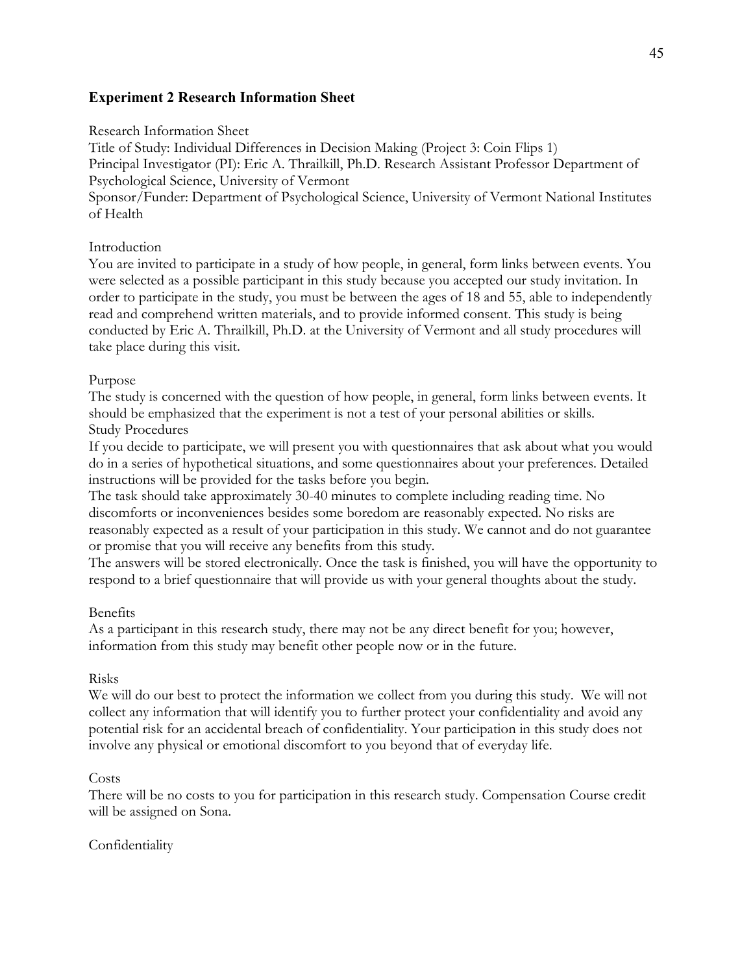# **Experiment 2 Research Information Sheet**

#### Research Information Sheet

Title of Study: Individual Differences in Decision Making (Project 3: Coin Flips 1) Principal Investigator (PI): Eric A. Thrailkill, Ph.D. Research Assistant Professor Department of Psychological Science, University of Vermont

Sponsor/Funder: Department of Psychological Science, University of Vermont National Institutes of Health

# Introduction

You are invited to participate in a study of how people, in general, form links between events. You were selected as a possible participant in this study because you accepted our study invitation. In order to participate in the study, you must be between the ages of 18 and 55, able to independently read and comprehend written materials, and to provide informed consent. This study is being conducted by Eric A. Thrailkill, Ph.D. at the University of Vermont and all study procedures will take place during this visit.

## Purpose

The study is concerned with the question of how people, in general, form links between events. It should be emphasized that the experiment is not a test of your personal abilities or skills. Study Procedures

If you decide to participate, we will present you with questionnaires that ask about what you would do in a series of hypothetical situations, and some questionnaires about your preferences. Detailed instructions will be provided for the tasks before you begin.

The task should take approximately 30-40 minutes to complete including reading time. No discomforts or inconveniences besides some boredom are reasonably expected. No risks are reasonably expected as a result of your participation in this study. We cannot and do not guarantee or promise that you will receive any benefits from this study.

The answers will be stored electronically. Once the task is finished, you will have the opportunity to respond to a brief questionnaire that will provide us with your general thoughts about the study.

# Benefits

As a participant in this research study, there may not be any direct benefit for you; however, information from this study may benefit other people now or in the future.

# Risks

We will do our best to protect the information we collect from you during this study. We will not collect any information that will identify you to further protect your confidentiality and avoid any potential risk for an accidental breach of confidentiality. Your participation in this study does not involve any physical or emotional discomfort to you beyond that of everyday life.

#### Costs

There will be no costs to you for participation in this research study. Compensation Course credit will be assigned on Sona.

# Confidentiality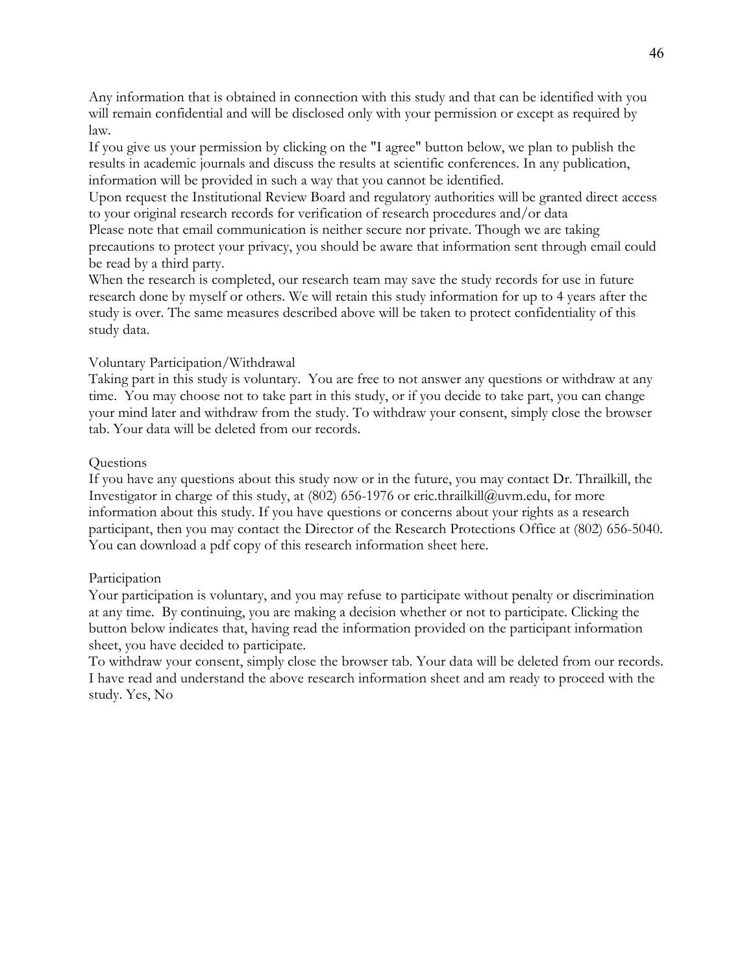Any information that is obtained in connection with this study and that can be identified with you will remain confidential and will be disclosed only with your permission or except as required by law.

If you give us your permission by clicking on the "I agree" button below, we plan to publish the results in academic journals and discuss the results at scientific conferences. In any publication, information will be provided in such a way that you cannot be identified.

Upon request the Institutional Review Board and regulatory authorities will be granted direct access to your original research records for verification of research procedures and/or data

Please note that email communication is neither secure nor private. Though we are taking precautions to protect your privacy, you should be aware that information sent through email could be read by a third party.

When the research is completed, our research team may save the study records for use in future research done by myself or others. We will retain this study information for up to 4 years after the study is over. The same measures described above will be taken to protect confidentiality of this study data.

#### Voluntary Participation/Withdrawal

Taking part in this study is voluntary. You are free to not answer any questions or withdraw at any time. You may choose not to take part in this study, or if you decide to take part, you can change your mind later and withdraw from the study. To withdraw your consent, simply close the browser tab. Your data will be deleted from our records.

#### **Questions**

If you have any questions about this study now or in the future, you may contact Dr. Thrailkill, the Investigator in charge of this study, at  $(802)$  656-1976 or eric.thrailkill $@$ uvm.edu, for more information about this study. If you have questions or concerns about your rights as a research participant, then you may contact the Director of the Research Protections Office at (802) 656-5040. You can download a pdf copy of this research information sheet here.

#### Participation

Your participation is voluntary, and you may refuse to participate without penalty or discrimination at any time. By continuing, you are making a decision whether or not to participate. Clicking the button below indicates that, having read the information provided on the participant information sheet, you have decided to participate.

To withdraw your consent, simply close the browser tab. Your data will be deleted from our records. I have read and understand the above research information sheet and am ready to proceed with the study. Yes, No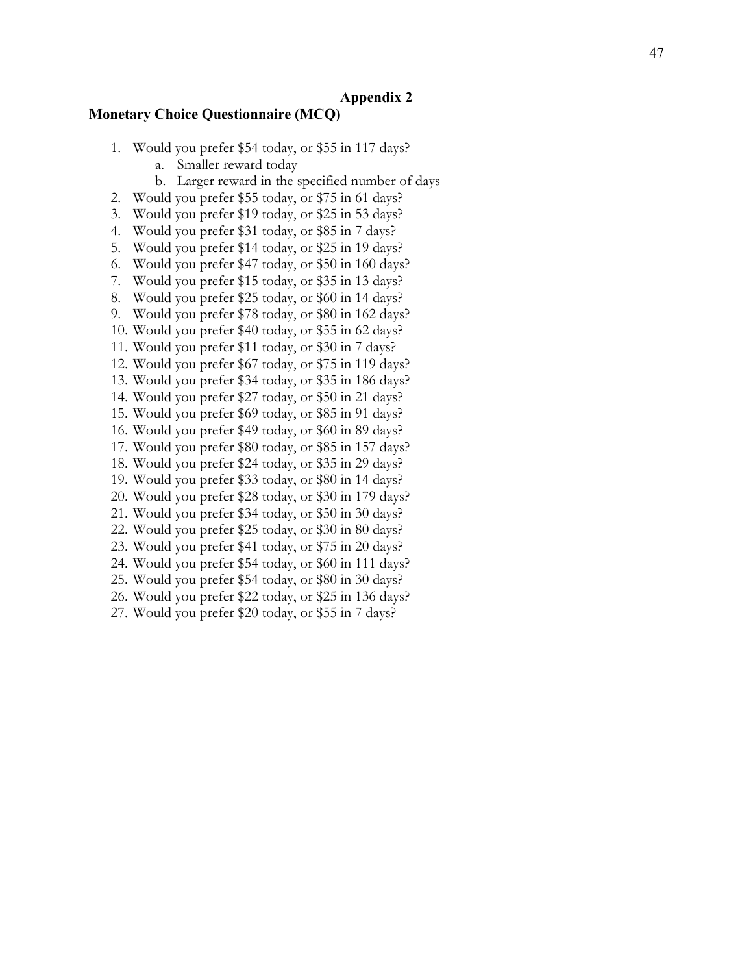#### **Appendix 2**

#### **Monetary Choice Questionnaire (MCQ)**

- 1. Would you prefer \$54 today, or \$55 in 117 days?
	- a. Smaller reward today
	- b. Larger reward in the specified number of days
- 2. Would you prefer \$55 today, or \$75 in 61 days?
- 3. Would you prefer \$19 today, or \$25 in 53 days?
- 4. Would you prefer \$31 today, or \$85 in 7 days?
- 5. Would you prefer \$14 today, or \$25 in 19 days?
- 6. Would you prefer \$47 today, or \$50 in 160 days?
- 7. Would you prefer \$15 today, or \$35 in 13 days?
- 8. Would you prefer \$25 today, or \$60 in 14 days?
- 9. Would you prefer \$78 today, or \$80 in 162 days?
- 10. Would you prefer \$40 today, or \$55 in 62 days?
- 11. Would you prefer \$11 today, or \$30 in 7 days?
- 12. Would you prefer \$67 today, or \$75 in 119 days?
- 13. Would you prefer \$34 today, or \$35 in 186 days?
- 14. Would you prefer \$27 today, or \$50 in 21 days?
- 15. Would you prefer \$69 today, or \$85 in 91 days?
- 16. Would you prefer \$49 today, or \$60 in 89 days?
- 17. Would you prefer \$80 today, or \$85 in 157 days?
- 18. Would you prefer \$24 today, or \$35 in 29 days?
- 19. Would you prefer \$33 today, or \$80 in 14 days?
- 20. Would you prefer \$28 today, or \$30 in 179 days?
- 21. Would you prefer \$34 today, or \$50 in 30 days?
- 22. Would you prefer \$25 today, or \$30 in 80 days?
- 23. Would you prefer \$41 today, or \$75 in 20 days?
- 24. Would you prefer \$54 today, or \$60 in 111 days?
- 25. Would you prefer \$54 today, or \$80 in 30 days?
- 26. Would you prefer \$22 today, or \$25 in 136 days?
- 27. Would you prefer \$20 today, or \$55 in 7 days?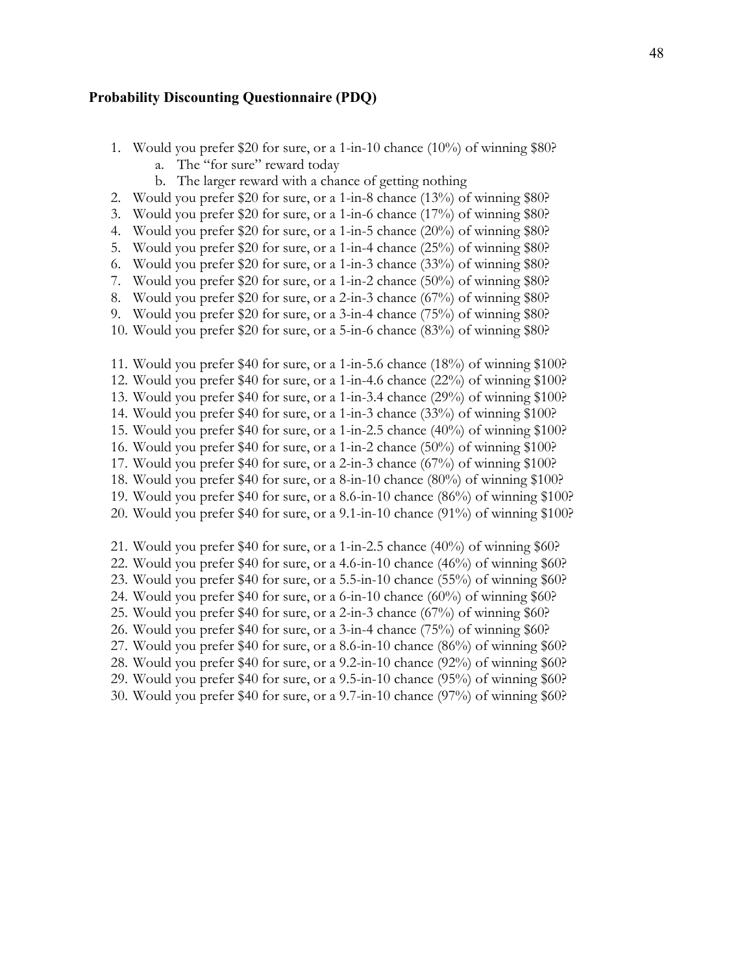#### **Probability Discounting Questionnaire (PDQ)**

- 1. Would you prefer \$20 for sure, or a 1-in-10 chance (10%) of winning \$80?
	- a. The "for sure" reward today
	- b. The larger reward with a chance of getting nothing
- 2. Would you prefer \$20 for sure, or a 1-in-8 chance (13%) of winning \$80?
- 3. Would you prefer \$20 for sure, or a 1-in-6 chance (17%) of winning \$80?
- 4. Would you prefer \$20 for sure, or a 1-in-5 chance (20%) of winning \$80?
- 5. Would you prefer \$20 for sure, or a 1-in-4 chance (25%) of winning \$80?
- 6. Would you prefer \$20 for sure, or a 1-in-3 chance (33%) of winning \$80?
- 7. Would you prefer \$20 for sure, or a 1-in-2 chance (50%) of winning \$80?
- 8. Would you prefer \$20 for sure, or a 2-in-3 chance (67%) of winning \$80?
- 9. Would you prefer \$20 for sure, or a 3-in-4 chance (75%) of winning \$80?
- 10. Would you prefer \$20 for sure, or a 5-in-6 chance (83%) of winning \$80?
- 11. Would you prefer \$40 for sure, or a 1-in-5.6 chance (18%) of winning \$100?
- 12. Would you prefer \$40 for sure, or a 1-in-4.6 chance (22%) of winning \$100?
- 13. Would you prefer \$40 for sure, or a 1-in-3.4 chance (29%) of winning \$100?
- 14. Would you prefer \$40 for sure, or a 1-in-3 chance (33%) of winning \$100?
- 15. Would you prefer \$40 for sure, or a 1-in-2.5 chance (40%) of winning \$100?
- 16. Would you prefer \$40 for sure, or a 1-in-2 chance (50%) of winning \$100?
- 17. Would you prefer \$40 for sure, or a 2-in-3 chance (67%) of winning \$100?
- 18. Would you prefer \$40 for sure, or a 8-in-10 chance (80%) of winning \$100?
- 19. Would you prefer \$40 for sure, or a 8.6-in-10 chance (86%) of winning \$100?
- 20. Would you prefer \$40 for sure, or a 9.1-in-10 chance (91%) of winning \$100?
- 21. Would you prefer \$40 for sure, or a 1-in-2.5 chance (40%) of winning \$60?
- 22. Would you prefer \$40 for sure, or a 4.6-in-10 chance (46%) of winning \$60?
- 23. Would you prefer \$40 for sure, or a 5.5-in-10 chance (55%) of winning \$60?
- 24. Would you prefer \$40 for sure, or a 6-in-10 chance  $(60\%)$  of winning \$60?
- 25. Would you prefer \$40 for sure, or a 2-in-3 chance (67%) of winning \$60?
- 26. Would you prefer \$40 for sure, or a 3-in-4 chance (75%) of winning \$60?
- 27. Would you prefer \$40 for sure, or a 8.6-in-10 chance (86%) of winning \$60?
- 28. Would you prefer \$40 for sure, or a 9.2-in-10 chance (92%) of winning \$60?
- 29. Would you prefer \$40 for sure, or a 9.5-in-10 chance (95%) of winning \$60?
- 30. Would you prefer \$40 for sure, or a 9.7-in-10 chance (97%) of winning \$60?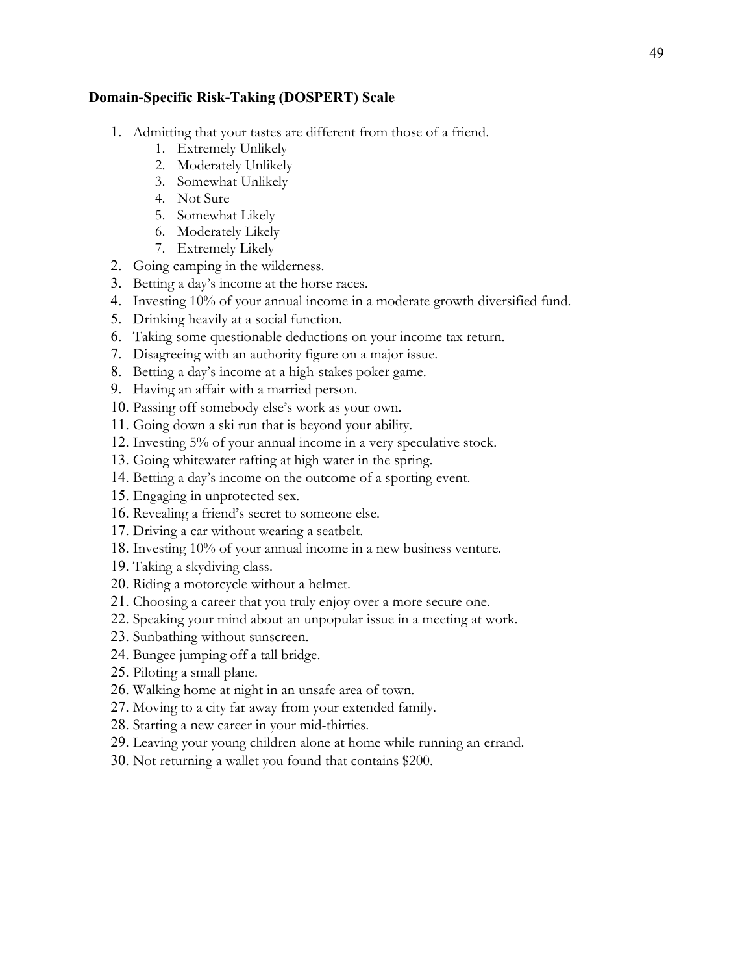# **Domain-Specific Risk-Taking (DOSPERT) Scale**

- 1. Admitting that your tastes are different from those of a friend.
	- 1. Extremely Unlikely
	- 2. Moderately Unlikely
	- 3. Somewhat Unlikely
	- 4. Not Sure
	- 5. Somewhat Likely
	- 6. Moderately Likely
	- 7. Extremely Likely
- 2. Going camping in the wilderness.
- 3. Betting a day's income at the horse races.
- 4. Investing 10% of your annual income in a moderate growth diversified fund.
- 5. Drinking heavily at a social function.
- 6. Taking some questionable deductions on your income tax return.
- 7. Disagreeing with an authority figure on a major issue.
- 8. Betting a day's income at a high-stakes poker game.
- 9. Having an affair with a married person.
- 10. Passing off somebody else's work as your own.
- 11. Going down a ski run that is beyond your ability.
- 12. Investing 5% of your annual income in a very speculative stock.
- 13. Going whitewater rafting at high water in the spring.
- 14. Betting a day's income on the outcome of a sporting event.
- 15. Engaging in unprotected sex.
- 16. Revealing a friend's secret to someone else.
- 17. Driving a car without wearing a seatbelt.
- 18. Investing 10% of your annual income in a new business venture.
- 19. Taking a skydiving class.
- 20. Riding a motorcycle without a helmet.
- 21. Choosing a career that you truly enjoy over a more secure one.
- 22. Speaking your mind about an unpopular issue in a meeting at work.
- 23. Sunbathing without sunscreen.
- 24. Bungee jumping off a tall bridge.
- 25. Piloting a small plane.
- 26. Walking home at night in an unsafe area of town.
- 27. Moving to a city far away from your extended family.
- 28. Starting a new career in your mid-thirties.
- 29. Leaving your young children alone at home while running an errand.
- 30. Not returning a wallet you found that contains \$200.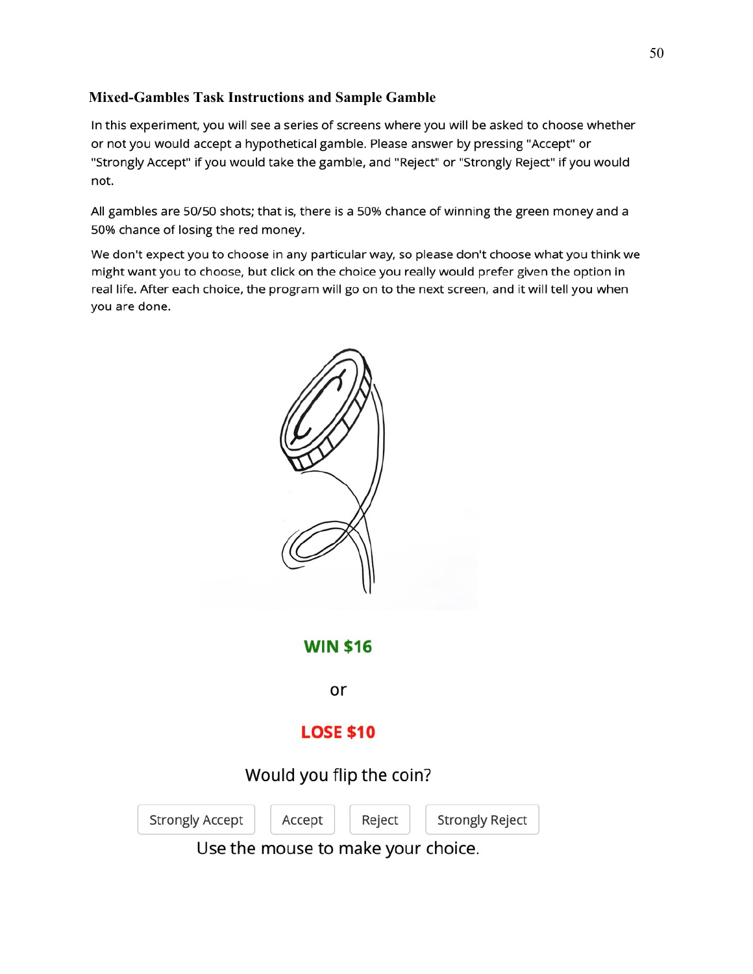# **Mixed-Gambles Task Instructions and Sample Gamble**

In this experiment, you will see a series of screens where you will be asked to choose whether or not you would accept a hypothetical gamble. Please answer by pressing "Accept" or "Strongly Accept" if you would take the gamble, and "Reject" or "Strongly Reject" if you would not.

All gambles are 50/50 shots; that is, there is a 50% chance of winning the green money and a 50% chance of losing the red money.

We don't expect you to choose in any particular way, so please don't choose what you think we might want you to choose, but click on the choice you really would prefer given the option in real life. After each choice, the program will go on to the next screen, and it will tell you when you are done.



Use the mouse to make your choice.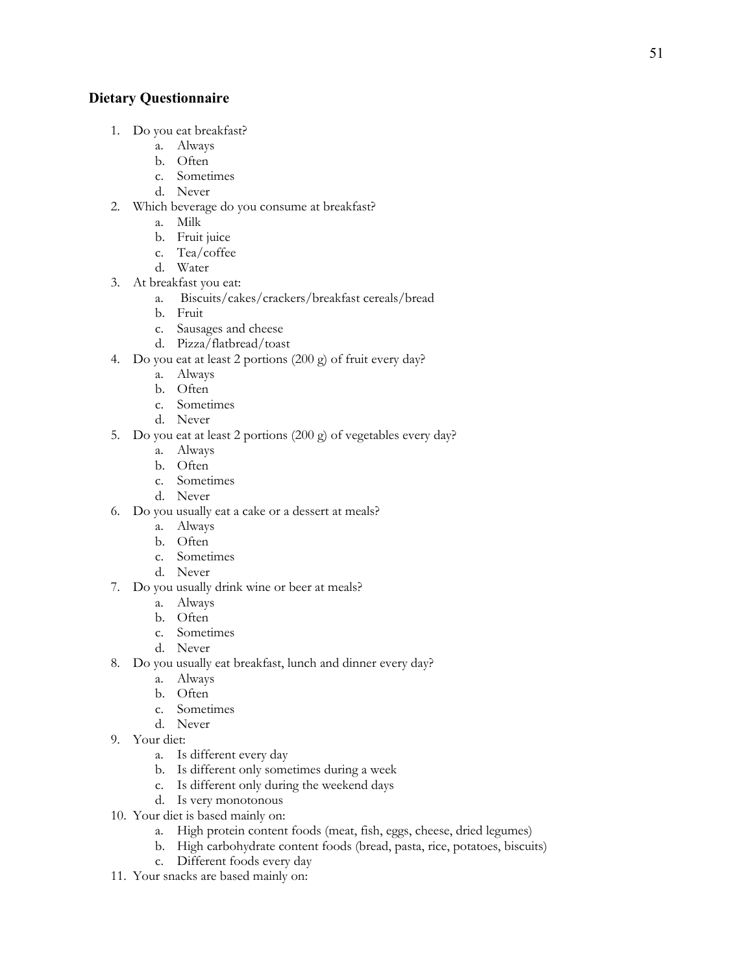# **Dietary Questionnaire**

- 1. Do you eat breakfast?
	- a. Always
	- b. Often
	- c. Sometimes
	- d. Never
- 2. Which beverage do you consume at breakfast?
	- a. Milk
	- b. Fruit juice
	- c. Tea/coffee
	- d. Water
- 3. At breakfast you eat:
	- a. Biscuits/cakes/crackers/breakfast cereals/bread
	- b. Fruit
	- c. Sausages and cheese
	- d. Pizza/flatbread/toast
- 4. Do you eat at least 2 portions (200 g) of fruit every day?
	- a. Always
	- b. Often
	- c. Sometimes
	- d. Never
- 5. Do you eat at least 2 portions (200 g) of vegetables every day?
	- a. Always
	- b. Often
	- c. Sometimes
	- d. Never
- 6. Do you usually eat a cake or a dessert at meals?
	- a. Always
	- b. Often
	- c. Sometimes
	- d. Never
- 7. Do you usually drink wine or beer at meals?
	- a. Always
	- b. Often
	- c. Sometimes
	- d. Never
- 8. Do you usually eat breakfast, lunch and dinner every day?
	- a. Always
	- b. Often
	- c. Sometimes
	- d. Never
- 9. Your diet:
	- a. Is different every day
	- b. Is different only sometimes during a week
	- c. Is different only during the weekend days
	- d. Is very monotonous
- 10. Your diet is based mainly on:
	- a. High protein content foods (meat, fish, eggs, cheese, dried legumes)
	- b. High carbohydrate content foods (bread, pasta, rice, potatoes, biscuits)
	- c. Different foods every day
- 11. Your snacks are based mainly on: